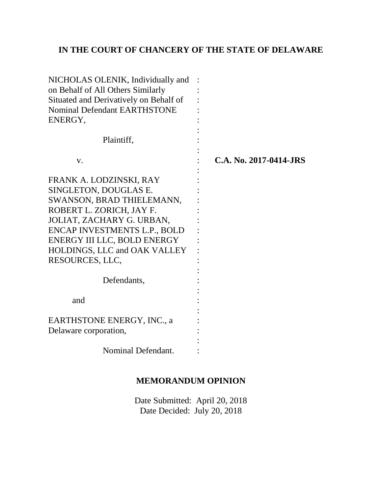# **IN THE COURT OF CHANCERY OF THE STATE OF DELAWARE**

| NICHOLAS OLENIK, Individually and<br>on Behalf of All Others Similarly<br>Situated and Derivatively on Behalf of<br>Nominal Defendant EARTHSTONE<br>ENERGY, |  |                        |
|-------------------------------------------------------------------------------------------------------------------------------------------------------------|--|------------------------|
| Plaintiff,                                                                                                                                                  |  |                        |
| V.                                                                                                                                                          |  | C.A. No. 2017-0414-JRS |
| FRANK A. LODZINSKI, RAY                                                                                                                                     |  |                        |
| SINGLETON, DOUGLAS E.                                                                                                                                       |  |                        |
| SWANSON, BRAD THIELEMANN,                                                                                                                                   |  |                        |
| ROBERT L. ZORICH, JAY F.                                                                                                                                    |  |                        |
| JOLIAT, ZACHARY G. URBAN,                                                                                                                                   |  |                        |
| ENCAP INVESTMENTS L.P., BOLD                                                                                                                                |  |                        |
| ENERGY III LLC, BOLD ENERGY                                                                                                                                 |  |                        |
| <b>HOLDINGS, LLC and OAK VALLEY</b>                                                                                                                         |  |                        |
| RESOURCES, LLC,                                                                                                                                             |  |                        |
|                                                                                                                                                             |  |                        |
| Defendants,                                                                                                                                                 |  |                        |
|                                                                                                                                                             |  |                        |
| and                                                                                                                                                         |  |                        |
|                                                                                                                                                             |  |                        |
| EARTHSTONE ENERGY, INC., a                                                                                                                                  |  |                        |
| Delaware corporation,                                                                                                                                       |  |                        |
|                                                                                                                                                             |  |                        |
| Nominal Defendant.                                                                                                                                          |  |                        |

## **MEMORANDUM OPINION**

Date Submitted: April 20, 2018 Date Decided: July 20, 2018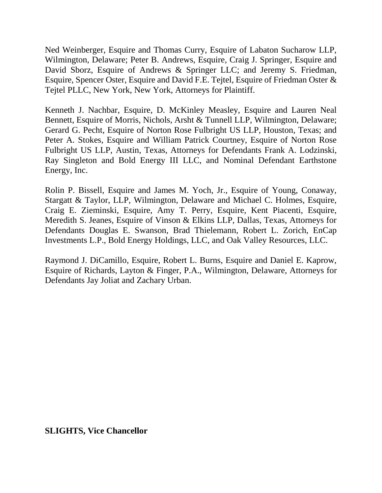Ned Weinberger, Esquire and Thomas Curry, Esquire of Labaton Sucharow LLP, Wilmington, Delaware; Peter B. Andrews, Esquire, Craig J. Springer, Esquire and David Sborz, Esquire of Andrews & Springer LLC; and Jeremy S. Friedman, Esquire, Spencer Oster, Esquire and David F.E. Tejtel, Esquire of Friedman Oster & Tejtel PLLC, New York, New York, Attorneys for Plaintiff.

Kenneth J. Nachbar, Esquire, D. McKinley Measley, Esquire and Lauren Neal Bennett, Esquire of Morris, Nichols, Arsht & Tunnell LLP, Wilmington, Delaware; Gerard G. Pecht, Esquire of Norton Rose Fulbright US LLP, Houston, Texas; and Peter A. Stokes, Esquire and William Patrick Courtney, Esquire of Norton Rose Fulbright US LLP, Austin, Texas, Attorneys for Defendants Frank A. Lodzinski, Ray Singleton and Bold Energy III LLC, and Nominal Defendant Earthstone Energy, Inc.

Rolin P. Bissell, Esquire and James M. Yoch, Jr., Esquire of Young, Conaway, Stargatt & Taylor, LLP, Wilmington, Delaware and Michael C. Holmes, Esquire, Craig E. Zieminski, Esquire, Amy T. Perry, Esquire, Kent Piacenti, Esquire, Meredith S. Jeanes, Esquire of Vinson & Elkins LLP, Dallas, Texas, Attorneys for Defendants Douglas E. Swanson, Brad Thielemann, Robert L. Zorich, EnCap Investments L.P., Bold Energy Holdings, LLC, and Oak Valley Resources, LLC.

Raymond J. DiCamillo, Esquire, Robert L. Burns, Esquire and Daniel E. Kaprow, Esquire of Richards, Layton & Finger, P.A., Wilmington, Delaware, Attorneys for Defendants Jay Joliat and Zachary Urban.

**SLIGHTS, Vice Chancellor**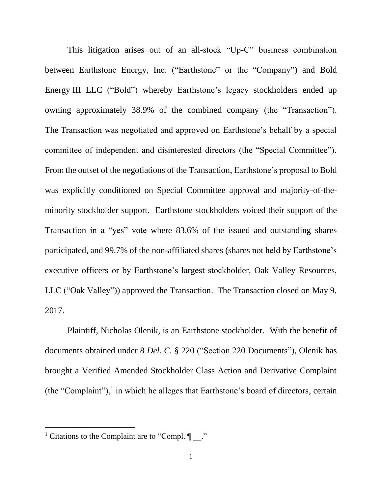This litigation arises out of an all-stock "Up-C" business combination between Earthstone Energy, Inc. ("Earthstone" or the "Company") and Bold Energy III LLC ("Bold") whereby Earthstone's legacy stockholders ended up owning approximately 38.9% of the combined company (the "Transaction"). The Transaction was negotiated and approved on Earthstone's behalf by a special committee of independent and disinterested directors (the "Special Committee"). From the outset of the negotiations of the Transaction, Earthstone's proposal to Bold was explicitly conditioned on Special Committee approval and majority-of-theminority stockholder support. Earthstone stockholders voiced their support of the Transaction in a "yes" vote where 83.6% of the issued and outstanding shares participated, and 99.7% of the non-affiliated shares (shares not held by Earthstone's executive officers or by Earthstone's largest stockholder, Oak Valley Resources, LLC ("Oak Valley")) approved the Transaction. The Transaction closed on May 9, 2017.

Plaintiff, Nicholas Olenik, is an Earthstone stockholder. With the benefit of documents obtained under 8 *Del. C.* § 220 ("Section 220 Documents"), Olenik has brought a Verified Amended Stockholder Class Action and Derivative Complaint (the "Complaint"), $<sup>1</sup>$  in which he alleges that Earthstone's board of directors, certain</sup>

<sup>&</sup>lt;sup>1</sup> Citations to the Complaint are to "Compl.  $\P$ ."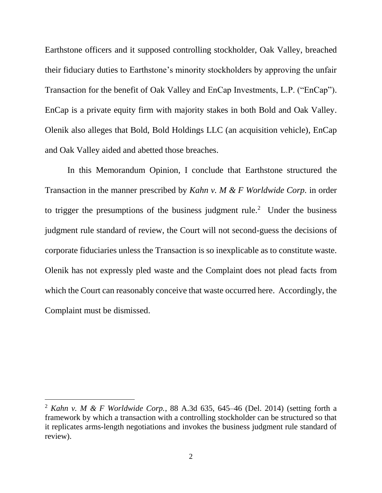Earthstone officers and it supposed controlling stockholder, Oak Valley, breached their fiduciary duties to Earthstone's minority stockholders by approving the unfair Transaction for the benefit of Oak Valley and EnCap Investments, L.P. ("EnCap"). EnCap is a private equity firm with majority stakes in both Bold and Oak Valley. Olenik also alleges that Bold, Bold Holdings LLC (an acquisition vehicle), EnCap and Oak Valley aided and abetted those breaches.

In this Memorandum Opinion, I conclude that Earthstone structured the Transaction in the manner prescribed by *Kahn v. M & F Worldwide Corp.* in order to trigger the presumptions of the business judgment rule.<sup>2</sup> Under the business judgment rule standard of review, the Court will not second-guess the decisions of corporate fiduciaries unless the Transaction is so inexplicable as to constitute waste. Olenik has not expressly pled waste and the Complaint does not plead facts from which the Court can reasonably conceive that waste occurred here. Accordingly, the Complaint must be dismissed.

<sup>2</sup> *Kahn v. M & F Worldwide Corp.*, 88 A.3d 635, 645–46 (Del. 2014) (setting forth a framework by which a transaction with a controlling stockholder can be structured so that it replicates arms-length negotiations and invokes the business judgment rule standard of review).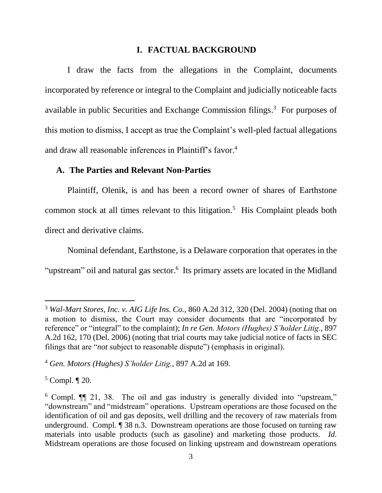### **I. FACTUAL BACKGROUND**

I draw the facts from the allegations in the Complaint, documents incorporated by reference or integral to the Complaint and judicially noticeable facts available in public Securities and Exchange Commission filings. <sup>3</sup> For purposes of this motion to dismiss, I accept as true the Complaint's well-pled factual allegations and draw all reasonable inferences in Plaintiff's favor.<sup>4</sup>

#### **A. The Parties and Relevant Non-Parties**

Plaintiff, Olenik, is and has been a record owner of shares of Earthstone common stock at all times relevant to this litigation.<sup>5</sup> His Complaint pleads both direct and derivative claims.

Nominal defendant, Earthstone, is a Delaware corporation that operates in the "upstream" oil and natural gas sector.<sup>6</sup> Its primary assets are located in the Midland

<sup>3</sup> *Wal-Mart Stores, Inc. v. AIG Life Ins. Co.*, 860 A.2d 312, 320 (Del. 2004) (noting that on a motion to dismiss, the Court may consider documents that are "incorporated by reference" or "integral" to the complaint); *In re Gen. Motors (Hughes) S'holder Litig.*, 897 A.2d 162, 170 (Del. 2006) (noting that trial courts may take judicial notice of facts in SEC filings that are "*not* subject to reasonable dispute") (emphasis in original).

<sup>4</sup> *Gen. Motors (Hughes) S'holder Litig.*, 897 A.2d at 169.

 $5$  Compl.  $\P$  20.

<sup>6</sup> Compl. ¶¶ 21, 38. The oil and gas industry is generally divided into "upstream," "downstream" and "midstream" operations. Upstream operations are those focused on the identification of oil and gas deposits, well drilling and the recovery of raw materials from underground. Compl. ¶ 38 n.3. Downstream operations are those focused on turning raw materials into usable products (such as gasoline) and marketing those products. *Id.* Midstream operations are those focused on linking upstream and downstream operations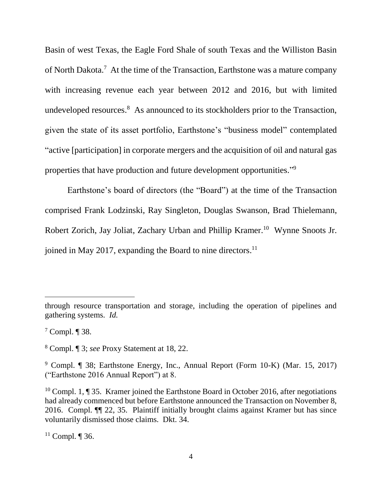Basin of west Texas, the Eagle Ford Shale of south Texas and the Williston Basin of North Dakota.<sup>7</sup> At the time of the Transaction, Earthstone was a mature company with increasing revenue each year between 2012 and 2016, but with limited undeveloped resources.<sup>8</sup> As announced to its stockholders prior to the Transaction, given the state of its asset portfolio, Earthstone's "business model" contemplated "active [participation] in corporate mergers and the acquisition of oil and natural gas properties that have production and future development opportunities."<sup>9</sup>

Earthstone's board of directors (the "Board") at the time of the Transaction comprised Frank Lodzinski, Ray Singleton, Douglas Swanson, Brad Thielemann, Robert Zorich, Jay Joliat, Zachary Urban and Phillip Kramer.<sup>10</sup> Wynne Snoots Jr. joined in May 2017, expanding the Board to nine directors. 11

through resource transportation and storage, including the operation of pipelines and gathering systems. *Id.*

<sup>7</sup> Compl. ¶ 38.

<sup>8</sup> Compl. ¶ 3; *see* Proxy Statement at 18, 22.

<sup>9</sup> Compl. ¶ 38; Earthstone Energy, Inc., Annual Report (Form 10-K) (Mar. 15, 2017) ("Earthstone 2016 Annual Report") at 8.

<sup>&</sup>lt;sup>10</sup> Compl. 1,  $\P$  35. Kramer joined the Earthstone Board in October 2016, after negotiations had already commenced but before Earthstone announced the Transaction on November 8, 2016. Compl. ¶¶ 22, 35. Plaintiff initially brought claims against Kramer but has since voluntarily dismissed those claims. Dkt. 34.

 $11$  Compl. ¶ 36.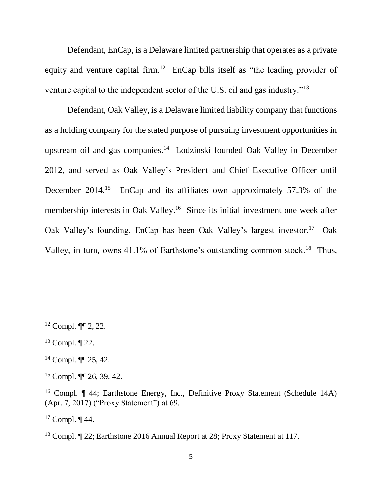Defendant, EnCap, is a Delaware limited partnership that operates as a private equity and venture capital firm.<sup>12</sup> EnCap bills itself as "the leading provider of venture capital to the independent sector of the U.S. oil and gas industry."<sup>13</sup>

Defendant, Oak Valley, is a Delaware limited liability company that functions as a holding company for the stated purpose of pursuing investment opportunities in upstream oil and gas companies. 14 Lodzinski founded Oak Valley in December 2012, and served as Oak Valley's President and Chief Executive Officer until December 2014.<sup>15</sup> EnCap and its affiliates own approximately 57.3% of the membership interests in Oak Valley.<sup>16</sup> Since its initial investment one week after Oak Valley's founding, EnCap has been Oak Valley's largest investor.<sup>17</sup> Oak Valley, in turn, owns  $41.1\%$  of Earthstone's outstanding common stock.<sup>18</sup> Thus,

 $\overline{a}$ 

 $17$  Compl.  $\P$  44.

 $12$  Compl. **[1]** 2, 22.

 $13$  Compl.  $\P$  22.

<sup>14</sup> Compl. ¶¶ 25, 42.

<sup>15</sup> Compl. ¶¶ 26, 39, 42.

<sup>16</sup> Compl. ¶ 44; Earthstone Energy, Inc., Definitive Proxy Statement (Schedule 14A) (Apr. 7, 2017) ("Proxy Statement") at 69.

<sup>18</sup> Compl. ¶ 22; Earthstone 2016 Annual Report at 28; Proxy Statement at 117.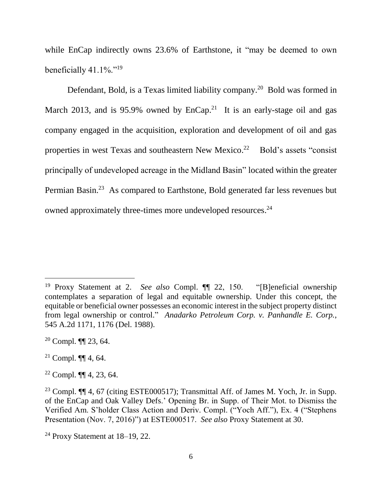while EnCap indirectly owns 23.6% of Earthstone, it "may be deemed to own beneficially  $41.1\%$ ."<sup>19</sup>

Defendant, Bold, is a Texas limited liability company.<sup>20</sup> Bold was formed in March 2013, and is 95.9% owned by  $EnCap.<sup>21</sup>$  It is an early-stage oil and gas company engaged in the acquisition, exploration and development of oil and gas properties in west Texas and southeastern New Mexico.<sup>22</sup> Bold's assets "consist principally of undeveloped acreage in the Midland Basin" located within the greater Permian Basin.<sup>23</sup> As compared to Earthstone, Bold generated far less revenues but owned approximately three-times more undeveloped resources.<sup>24</sup>

<sup>&</sup>lt;sup>19</sup> Proxy Statement at 2. *See also* Compl. **[1]** 22, 150. "[B]eneficial ownership contemplates a separation of legal and equitable ownership. Under this concept, the equitable or beneficial owner possesses an economic interest in the subject property distinct from legal ownership or control." *Anadarko Petroleum Corp. v. Panhandle E. Corp.*, 545 A.2d 1171, 1176 (Del. 1988).

<sup>20</sup> Compl. ¶¶ 23, 64.

<sup>&</sup>lt;sup>21</sup> Compl.  $\P\P$  4, 64.

<sup>22</sup> Compl. ¶¶ 4, 23, 64.

<sup>&</sup>lt;sup>23</sup> Compl.  $\P$  4, 67 (citing ESTE000517); Transmittal Aff. of James M. Yoch, Jr. in Supp. of the EnCap and Oak Valley Defs.' Opening Br. in Supp. of Their Mot. to Dismiss the Verified Am. S'holder Class Action and Deriv. Compl. ("Yoch Aff."), Ex. 4 ("Stephens Presentation (Nov. 7, 2016)") at ESTE000517. *See also* Proxy Statement at 30.

<sup>24</sup> Proxy Statement at 18–19, 22.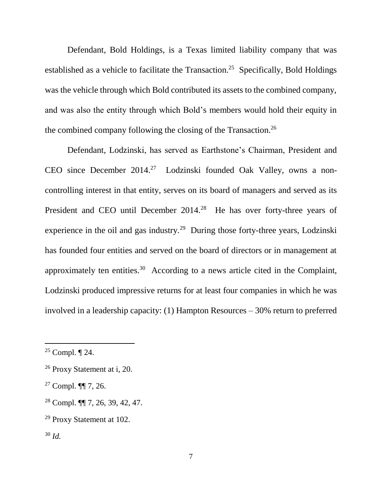Defendant, Bold Holdings, is a Texas limited liability company that was established as a vehicle to facilitate the Transaction.<sup>25</sup> Specifically, Bold Holdings was the vehicle through which Bold contributed its assets to the combined company, and was also the entity through which Bold's members would hold their equity in the combined company following the closing of the Transaction. 26

Defendant, Lodzinski, has served as Earthstone's Chairman, President and CEO since December 2014.<sup>27</sup> Lodzinski founded Oak Valley, owns a noncontrolling interest in that entity, serves on its board of managers and served as its President and CEO until December 2014.<sup>28</sup> He has over forty-three years of experience in the oil and gas industry.<sup>29</sup> During those forty-three years, Lodzinski has founded four entities and served on the board of directors or in management at approximately ten entities.<sup>30</sup> According to a news article cited in the Complaint, Lodzinski produced impressive returns for at least four companies in which he was involved in a leadership capacity: (1) Hampton Resources – 30% return to preferred

<sup>&</sup>lt;sup>25</sup> Compl.  $\P$  24.

<sup>26</sup> Proxy Statement at i, 20.

 $27$  Compl. **¶** 7, 26.

<sup>28</sup> Compl. ¶¶ 7, 26, 39, 42, 47.

<sup>29</sup> Proxy Statement at 102.

<sup>30</sup> *Id.*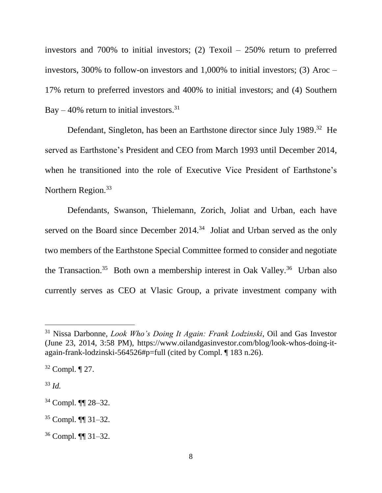investors and 700% to initial investors; (2) Texoil – 250% return to preferred investors, 300% to follow-on investors and 1,000% to initial investors; (3) Aroc – 17% return to preferred investors and 400% to initial investors; and (4) Southern Bay – 40% return to initial investors.<sup>31</sup>

Defendant, Singleton, has been an Earthstone director since July 1989.<sup>32</sup> He served as Earthstone's President and CEO from March 1993 until December 2014, when he transitioned into the role of Executive Vice President of Earthstone's Northern Region.<sup>33</sup>

Defendants, Swanson, Thielemann, Zorich, Joliat and Urban, each have served on the Board since December  $2014<sup>34</sup>$  Joliat and Urban served as the only two members of the Earthstone Special Committee formed to consider and negotiate the Transaction.<sup>35</sup> Both own a membership interest in Oak Valley.<sup>36</sup> Urban also currently serves as CEO at Vlasic Group, a private investment company with

<sup>33</sup> *Id.*

<sup>31</sup> Nissa Darbonne, *Look Who's Doing It Again: Frank Lodzinski*, Oil and Gas Investor (June 23, 2014, 3:58 PM), https://www.oilandgasinvestor.com/blog/look-whos-doing-itagain-frank-lodzinski-564526#p=full (cited by Compl. ¶ 183 n.26).

 $32$  Compl.  $\P$  27.

<sup>34</sup> Compl. ¶¶ 28–32.

<sup>35</sup> Compl. ¶¶ 31–32.

<sup>36</sup> Compl. ¶¶ 31–32.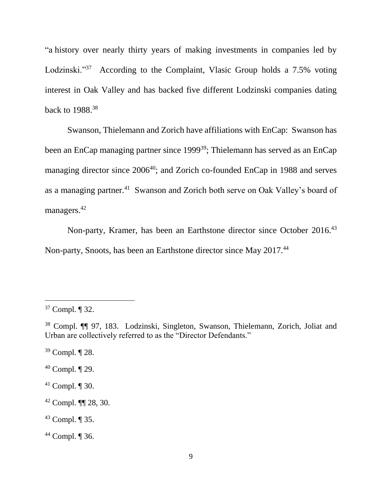"a history over nearly thirty years of making investments in companies led by Lodzinski."<sup>37</sup> According to the Complaint, Vlasic Group holds a 7.5% voting interest in Oak Valley and has backed five different Lodzinski companies dating back to 1988.<sup>38</sup>

Swanson, Thielemann and Zorich have affiliations with EnCap: Swanson has been an EnCap managing partner since 1999<sup>39</sup>; Thielemann has served as an EnCap managing director since 2006<sup>40</sup>; and Zorich co-founded EnCap in 1988 and serves as a managing partner.<sup>41</sup> Swanson and Zorich both serve on Oak Valley's board of managers.<sup>42</sup>

Non-party, Kramer, has been an Earthstone director since October 2016.<sup>43</sup> Non-party, Snoots, has been an Earthstone director since May 2017.<sup>44</sup>

- <sup>39</sup> Compl. ¶ 28.
- <sup>40</sup> Compl. ¶ 29.
- $41$  Compl.  $\P$  30.
- <sup>42</sup> Compl. ¶¶ 28, 30.
- <sup>43</sup> Compl. ¶ 35.
- <sup>44</sup> Compl. ¶ 36.

<sup>37</sup> Compl. ¶ 32.

<sup>38</sup> Compl. ¶¶ 97, 183. Lodzinski, Singleton, Swanson, Thielemann, Zorich, Joliat and Urban are collectively referred to as the "Director Defendants."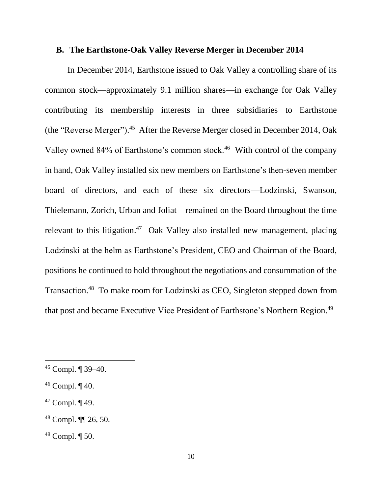### **B. The Earthstone-Oak Valley Reverse Merger in December 2014**

In December 2014, Earthstone issued to Oak Valley a controlling share of its common stock—approximately 9.1 million shares—in exchange for Oak Valley contributing its membership interests in three subsidiaries to Earthstone (the "Reverse Merger"). 45 After the Reverse Merger closed in December 2014, Oak Valley owned 84% of Earthstone's common stock.<sup>46</sup> With control of the company in hand, Oak Valley installed six new members on Earthstone's then-seven member board of directors, and each of these six directors—Lodzinski, Swanson, Thielemann, Zorich, Urban and Joliat—remained on the Board throughout the time relevant to this litigation.<sup>47</sup> Oak Valley also installed new management, placing Lodzinski at the helm as Earthstone's President, CEO and Chairman of the Board, positions he continued to hold throughout the negotiations and consummation of the Transaction. 48 To make room for Lodzinski as CEO, Singleton stepped down from that post and became Executive Vice President of Earthstone's Northern Region.<sup>49</sup>

<sup>45</sup> Compl. ¶ 39–40.

 $46$  Compl.  $\P$  40.

 $47$  Compl.  $\P$  49.

<sup>48</sup> Compl. ¶¶ 26, 50.

 $49$  Compl.  $\P$  50.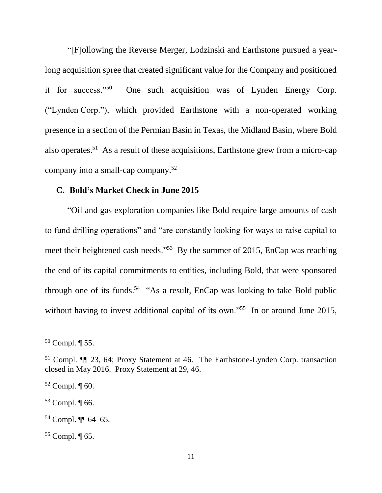"[F]ollowing the Reverse Merger, Lodzinski and Earthstone pursued a yearlong acquisition spree that created significant value for the Company and positioned it for success."<sup>50</sup> One such acquisition was of Lynden Energy Corp. ("Lynden Corp."), which provided Earthstone with a non-operated working presence in a section of the Permian Basin in Texas, the Midland Basin, where Bold also operates. 51 As a result of these acquisitions, Earthstone grew from a micro-cap company into a small-cap company. 52

### **C. Bold's Market Check in June 2015**

"Oil and gas exploration companies like Bold require large amounts of cash to fund drilling operations" and "are constantly looking for ways to raise capital to meet their heightened cash needs."<sup>53</sup> By the summer of 2015, EnCap was reaching the end of its capital commitments to entities, including Bold, that were sponsored through one of its funds.<sup>54</sup> "As a result, EnCap was looking to take Bold public without having to invest additional capital of its own."<sup>55</sup> In or around June 2015,

 $\overline{a}$ 

<sup>54</sup> Compl. ¶¶ 64–65.

 $50$  Compl.  $\P$  55.

<sup>51</sup> Compl. ¶¶ 23, 64; Proxy Statement at 46. The Earthstone-Lynden Corp. transaction closed in May 2016. Proxy Statement at 29, 46.

 $52$  Compl.  $\P$  60.

<sup>53</sup> Compl. ¶ 66.

<sup>55</sup> Compl. ¶ 65.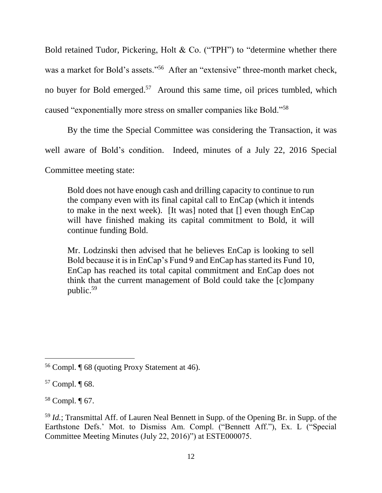Bold retained Tudor, Pickering, Holt & Co. ("TPH") to "determine whether there was a market for Bold's assets."<sup>56</sup> After an "extensive" three-month market check, no buyer for Bold emerged.<sup>57</sup> Around this same time, oil prices tumbled, which caused "exponentially more stress on smaller companies like Bold."<sup>58</sup>

By the time the Special Committee was considering the Transaction, it was

well aware of Bold's condition. Indeed, minutes of a July 22, 2016 Special

Committee meeting state:

Bold does not have enough cash and drilling capacity to continue to run the company even with its final capital call to EnCap (which it intends to make in the next week). [It was] noted that [] even though EnCap will have finished making its capital commitment to Bold, it will continue funding Bold.

Mr. Lodzinski then advised that he believes EnCap is looking to sell Bold because it is in EnCap's Fund 9 and EnCap has started its Fund 10, EnCap has reached its total capital commitment and EnCap does not think that the current management of Bold could take the [c]ompany public.<sup>59</sup>

l

<sup>58</sup> Compl. ¶ 67.

<sup>56</sup> Compl. ¶ 68 (quoting Proxy Statement at 46).

<sup>57</sup> Compl. ¶ 68.

<sup>59</sup> *Id.*; Transmittal Aff. of Lauren Neal Bennett in Supp. of the Opening Br. in Supp. of the Earthstone Defs.' Mot. to Dismiss Am. Compl. ("Bennett Aff."), Ex. L ("Special Committee Meeting Minutes (July 22, 2016)") at ESTE000075.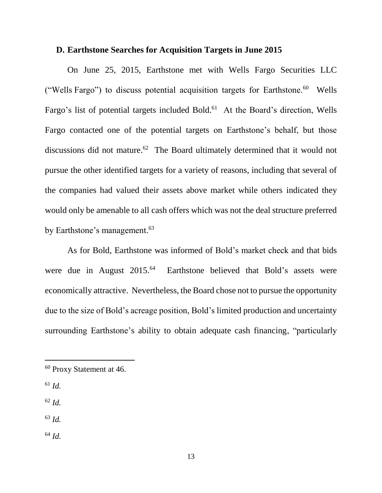### **D. Earthstone Searches for Acquisition Targets in June 2015**

On June 25, 2015, Earthstone met with Wells Fargo Securities LLC ("Wells Fargo") to discuss potential acquisition targets for Earthstone. $60$  Wells Fargo's list of potential targets included Bold.<sup>61</sup> At the Board's direction, Wells Fargo contacted one of the potential targets on Earthstone's behalf, but those discussions did not mature.<sup>62</sup> The Board ultimately determined that it would not pursue the other identified targets for a variety of reasons, including that several of the companies had valued their assets above market while others indicated they would only be amenable to all cash offers which was not the deal structure preferred by Earthstone's management.<sup>63</sup>

As for Bold, Earthstone was informed of Bold's market check and that bids were due in August 2015.<sup>64</sup> Earthstone believed that Bold's assets were economically attractive. Nevertheless, the Board chose not to pursue the opportunity due to the size of Bold's acreage position, Bold's limited production and uncertainty surrounding Earthstone's ability to obtain adequate cash financing, "particularly

 $61$  *Id.* 

- <sup>62</sup> *Id.*
- <sup>63</sup> *Id.*
- <sup>64</sup> *Id.*

<sup>60</sup> Proxy Statement at 46.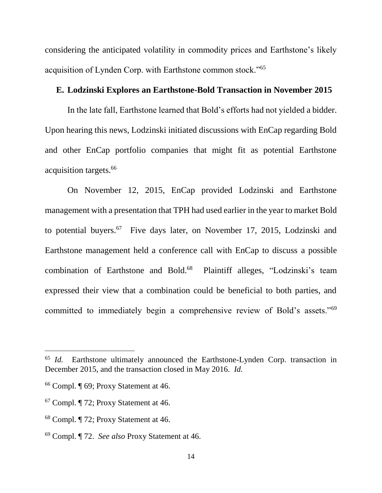considering the anticipated volatility in commodity prices and Earthstone's likely acquisition of Lynden Corp. with Earthstone common stock."<sup>65</sup>

### **E. Lodzinski Explores an Earthstone-Bold Transaction in November 2015**

In the late fall, Earthstone learned that Bold's efforts had not yielded a bidder. Upon hearing this news, Lodzinski initiated discussions with EnCap regarding Bold and other EnCap portfolio companies that might fit as potential Earthstone acquisition targets.<sup>66</sup>

On November 12, 2015, EnCap provided Lodzinski and Earthstone management with a presentation that TPH had used earlier in the year to market Bold to potential buyers.<sup>67</sup> Five days later, on November 17, 2015, Lodzinski and Earthstone management held a conference call with EnCap to discuss a possible combination of Earthstone and Bold.<sup>68</sup> Plaintiff alleges, "Lodzinski's team expressed their view that a combination could be beneficial to both parties, and committed to immediately begin a comprehensive review of Bold's assets."<sup>69</sup>

<sup>65</sup> *Id.* Earthstone ultimately announced the Earthstone-Lynden Corp. transaction in December 2015, and the transaction closed in May 2016. *Id.*

<sup>66</sup> Compl. ¶ 69; Proxy Statement at 46.

<sup>67</sup> Compl. ¶ 72; Proxy Statement at 46.

<sup>68</sup> Compl. ¶ 72; Proxy Statement at 46.

<sup>69</sup> Compl. ¶ 72. *See also* Proxy Statement at 46.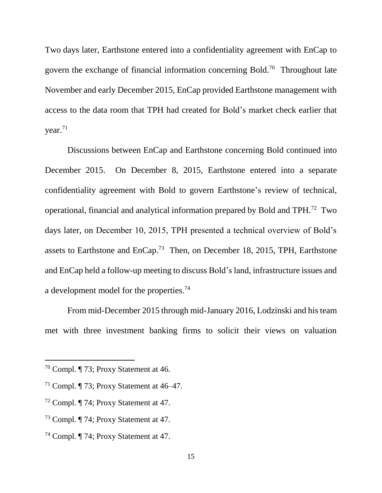Two days later, Earthstone entered into a confidentiality agreement with EnCap to govern the exchange of financial information concerning Bold.<sup>70</sup> Throughout late November and early December 2015, EnCap provided Earthstone management with access to the data room that TPH had created for Bold's market check earlier that year.<sup>71</sup>

Discussions between EnCap and Earthstone concerning Bold continued into December 2015. On December 8, 2015, Earthstone entered into a separate confidentiality agreement with Bold to govern Earthstone's review of technical, operational, financial and analytical information prepared by Bold and TPH.<sup>72</sup> Two days later, on December 10, 2015, TPH presented a technical overview of Bold's assets to Earthstone and  $EnCap.<sup>73</sup>$  Then, on December 18, 2015, TPH, Earthstone and EnCap held a follow-up meeting to discuss Bold's land, infrastructure issues and a development model for the properties.<sup>74</sup>

From mid-December 2015 through mid-January 2016, Lodzinski and his team met with three investment banking firms to solicit their views on valuation

<sup>70</sup> Compl. ¶ 73; Proxy Statement at 46.

<sup>&</sup>lt;sup>71</sup> Compl.  $\P$  73; Proxy Statement at 46–47.

<sup>72</sup> Compl. ¶ 74; Proxy Statement at 47.

<sup>73</sup> Compl. ¶ 74; Proxy Statement at 47.

<sup>74</sup> Compl. ¶ 74; Proxy Statement at 47.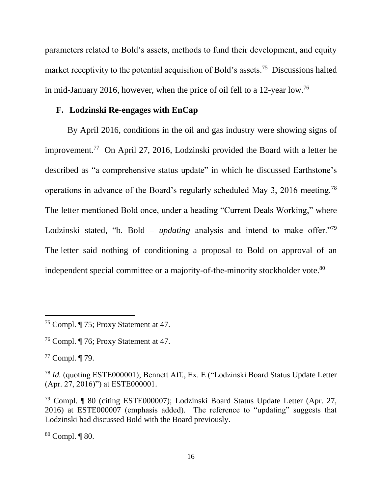parameters related to Bold's assets, methods to fund their development, and equity market receptivity to the potential acquisition of Bold's assets.<sup>75</sup> Discussions halted in mid-January 2016, however, when the price of oil fell to a 12-year low.<sup>76</sup>

### **F. Lodzinski Re-engages with EnCap**

By April 2016, conditions in the oil and gas industry were showing signs of improvement. 77 On April 27, 2016, Lodzinski provided the Board with a letter he described as "a comprehensive status update" in which he discussed Earthstone's operations in advance of the Board's regularly scheduled May 3, 2016 meeting.<sup>78</sup> The letter mentioned Bold once, under a heading "Current Deals Working," where Lodzinski stated, "b. Bold – *updating* analysis and intend to make offer."<sup>79</sup> The letter said nothing of conditioning a proposal to Bold on approval of an independent special committee or a majority-of-the-minority stockholder vote.<sup>80</sup>

<sup>77</sup> Compl. ¶ 79.

 $\overline{a}$ 

<sup>80</sup> Compl. ¶ 80.

<sup>&</sup>lt;sup>75</sup> Compl.  $\P$  75; Proxy Statement at 47.

<sup>76</sup> Compl. ¶ 76; Proxy Statement at 47.

<sup>78</sup> *Id.* (quoting ESTE000001); Bennett Aff., Ex. E ("Lodzinski Board Status Update Letter (Apr. 27, 2016)") at ESTE000001.

<sup>79</sup> Compl. ¶ 80 (citing ESTE000007); Lodzinski Board Status Update Letter (Apr. 27, 2016) at ESTE000007 (emphasis added). The reference to "updating" suggests that Lodzinski had discussed Bold with the Board previously.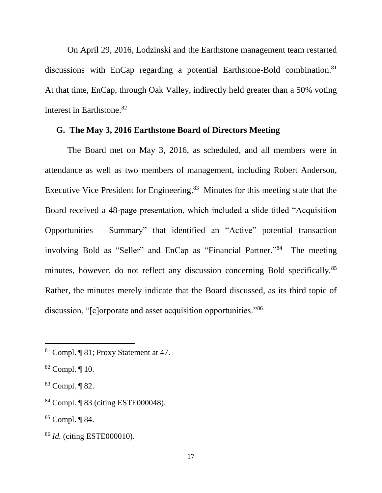On April 29, 2016, Lodzinski and the Earthstone management team restarted discussions with EnCap regarding a potential Earthstone-Bold combination.<sup>81</sup> At that time, EnCap, through Oak Valley, indirectly held greater than a 50% voting interest in Earthstone.<sup>82</sup>

### **G. The May 3, 2016 Earthstone Board of Directors Meeting**

The Board met on May 3, 2016, as scheduled, and all members were in attendance as well as two members of management, including Robert Anderson, Executive Vice President for Engineering.<sup>83</sup> Minutes for this meeting state that the Board received a 48-page presentation, which included a slide titled "Acquisition Opportunities – Summary" that identified an "Active" potential transaction involving Bold as "Seller" and EnCap as "Financial Partner."<sup>84</sup> The meeting minutes, however, do not reflect any discussion concerning Bold specifically.<sup>85</sup> Rather, the minutes merely indicate that the Board discussed, as its third topic of discussion, "[c]orporate and asset acquisition opportunities."<sup>86</sup>

<sup>81</sup> Compl. ¶ 81; Proxy Statement at 47.

 $82$  Compl.  $\P$  10.

<sup>83</sup> Compl. ¶ 82.

<sup>84</sup> Compl. ¶ 83 (citing ESTE000048).

<sup>85</sup> Compl. ¶ 84.

<sup>86</sup> *Id.* (citing ESTE000010).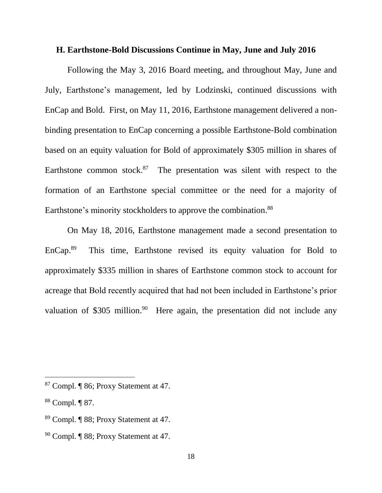### **H. Earthstone-Bold Discussions Continue in May, June and July 2016**

Following the May 3, 2016 Board meeting, and throughout May, June and July, Earthstone's management, led by Lodzinski, continued discussions with EnCap and Bold. First, on May 11, 2016, Earthstone management delivered a nonbinding presentation to EnCap concerning a possible Earthstone-Bold combination based on an equity valuation for Bold of approximately \$305 million in shares of Earthstone common stock. $87$  The presentation was silent with respect to the formation of an Earthstone special committee or the need for a majority of Earthstone's minority stockholders to approve the combination.<sup>88</sup>

On May 18, 2016, Earthstone management made a second presentation to EnCap. 89 This time, Earthstone revised its equity valuation for Bold to approximately \$335 million in shares of Earthstone common stock to account for acreage that Bold recently acquired that had not been included in Earthstone's prior valuation of \$305 million.<sup>90</sup> Here again, the presentation did not include any

<sup>87</sup> Compl. ¶ 86; Proxy Statement at 47.

<sup>88</sup> Compl. ¶ 87.

<sup>89</sup> Compl. ¶ 88; Proxy Statement at 47.

<sup>90</sup> Compl. ¶ 88; Proxy Statement at 47.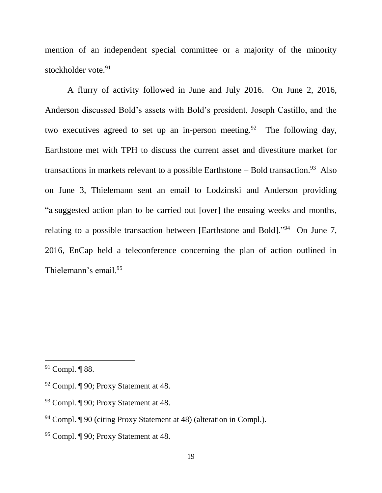mention of an independent special committee or a majority of the minority stockholder vote.<sup>91</sup>

A flurry of activity followed in June and July 2016. On June 2, 2016, Anderson discussed Bold's assets with Bold's president, Joseph Castillo, and the two executives agreed to set up an in-person meeting.<sup>92</sup> The following day, Earthstone met with TPH to discuss the current asset and divestiture market for transactions in markets relevant to a possible Earthstone – Bold transaction.<sup>93</sup> Also on June 3, Thielemann sent an email to Lodzinski and Anderson providing "a suggested action plan to be carried out [over] the ensuing weeks and months, relating to a possible transaction between [Earthstone and Bold]."<sup>94</sup> On June 7, 2016, EnCap held a teleconference concerning the plan of action outlined in Thielemann's email.<sup>95</sup>

<sup>91</sup> Compl. ¶ 88.

<sup>92</sup> Compl. ¶ 90; Proxy Statement at 48.

<sup>93</sup> Compl. ¶ 90; Proxy Statement at 48.

<sup>94</sup> Compl. ¶ 90 (citing Proxy Statement at 48) (alteration in Compl.).

<sup>95</sup> Compl. ¶ 90; Proxy Statement at 48.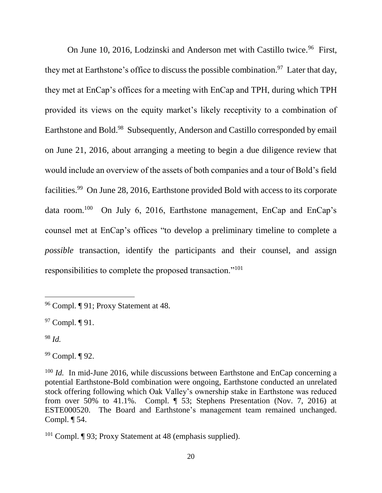On June 10, 2016, Lodzinski and Anderson met with Castillo twice.<sup>96</sup> First, they met at Earthstone's office to discuss the possible combination.<sup>97</sup> Later that day, they met at EnCap's offices for a meeting with EnCap and TPH, during which TPH provided its views on the equity market's likely receptivity to a combination of Earthstone and Bold.<sup>98</sup> Subsequently, Anderson and Castillo corresponded by email on June 21, 2016, about arranging a meeting to begin a due diligence review that would include an overview of the assets of both companies and a tour of Bold's field facilities.<sup>99</sup> On June 28, 2016, Earthstone provided Bold with access to its corporate data room.<sup>100</sup> On July 6, 2016, Earthstone management, EnCap and EnCap's counsel met at EnCap's offices "to develop a preliminary timeline to complete a *possible* transaction, identify the participants and their counsel, and assign responsibilities to complete the proposed transaction."<sup>101</sup>

<sup>97</sup> Compl. ¶ 91.

<sup>98</sup> *Id.*

l

<sup>99</sup> Compl. ¶ 92.

<sup>96</sup> Compl. ¶ 91; Proxy Statement at 48.

<sup>&</sup>lt;sup>100</sup> *Id.* In mid-June 2016, while discussions between Earthstone and EnCap concerning a potential Earthstone-Bold combination were ongoing, Earthstone conducted an unrelated stock offering following which Oak Valley's ownership stake in Earthstone was reduced from over 50% to 41.1%. Compl. ¶ 53; Stephens Presentation (Nov. 7, 2016) at ESTE000520. The Board and Earthstone's management team remained unchanged. Compl. ¶ 54.

<sup>101</sup> Compl. ¶ 93; Proxy Statement at 48 (emphasis supplied).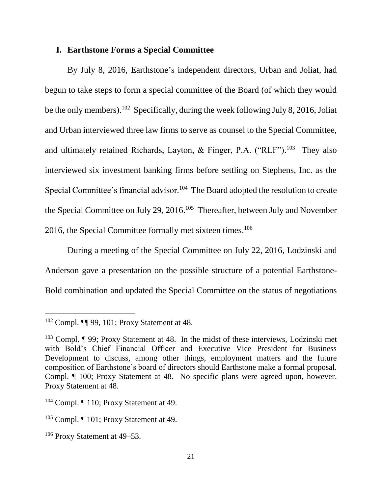### **I. Earthstone Forms a Special Committee**

By July 8, 2016, Earthstone's independent directors, Urban and Joliat, had begun to take steps to form a special committee of the Board (of which they would be the only members).<sup>102</sup> Specifically, during the week following July 8, 2016, Joliat and Urban interviewed three law firms to serve as counsel to the Special Committee, and ultimately retained Richards, Layton, & Finger, P.A. ("RLF").<sup>103</sup> They also interviewed six investment banking firms before settling on Stephens, Inc. as the Special Committee's financial advisor.<sup>104</sup> The Board adopted the resolution to create the Special Committee on July 29, 2016.<sup>105</sup> Thereafter, between July and November 2016, the Special Committee formally met sixteen times.<sup>106</sup>

During a meeting of the Special Committee on July 22, 2016, Lodzinski and Anderson gave a presentation on the possible structure of a potential Earthstone-Bold combination and updated the Special Committee on the status of negotiations

<sup>102</sup> Compl. ¶¶ 99, 101; Proxy Statement at 48.

<sup>103</sup> Compl. ¶ 99; Proxy Statement at 48. In the midst of these interviews, Lodzinski met with Bold's Chief Financial Officer and Executive Vice President for Business Development to discuss, among other things, employment matters and the future composition of Earthstone's board of directors should Earthstone make a formal proposal. Compl. ¶ 100; Proxy Statement at 48. No specific plans were agreed upon, however. Proxy Statement at 48.

<sup>&</sup>lt;sup>104</sup> Compl. ¶ 110; Proxy Statement at 49.

<sup>&</sup>lt;sup>105</sup> Compl. [101; Proxy Statement at 49.

<sup>106</sup> Proxy Statement at 49–53.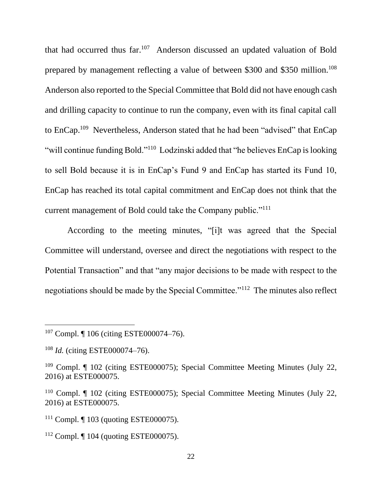that had occurred thus far.<sup>107</sup> Anderson discussed an updated valuation of Bold prepared by management reflecting a value of between \$300 and \$350 million.<sup>108</sup> Anderson also reported to the Special Committee that Bold did not have enough cash and drilling capacity to continue to run the company, even with its final capital call to EnCap.<sup>109</sup> Nevertheless, Anderson stated that he had been "advised" that EnCap "will continue funding Bold."<sup>110</sup> Lodzinski added that "he believes EnCap is looking to sell Bold because it is in EnCap's Fund 9 and EnCap has started its Fund 10, EnCap has reached its total capital commitment and EnCap does not think that the current management of Bold could take the Company public."<sup>111</sup>

According to the meeting minutes, "[i]t was agreed that the Special Committee will understand, oversee and direct the negotiations with respect to the Potential Transaction" and that "any major decisions to be made with respect to the negotiations should be made by the Special Committee."<sup>112</sup> The minutes also reflect

<sup>107</sup> Compl. ¶ 106 (citing ESTE000074–76).

<sup>108</sup> *Id.* (citing ESTE000074–76).

<sup>109</sup> Compl. ¶ 102 (citing ESTE000075); Special Committee Meeting Minutes (July 22, 2016) at ESTE000075.

<sup>&</sup>lt;sup>110</sup> Compl. ¶ 102 (citing ESTE000075); Special Committee Meeting Minutes (July 22, 2016) at ESTE000075.

<sup>&</sup>lt;sup>111</sup> Compl. ¶ 103 (quoting ESTE000075).

<sup>112</sup> Compl. ¶ 104 (quoting ESTE000075).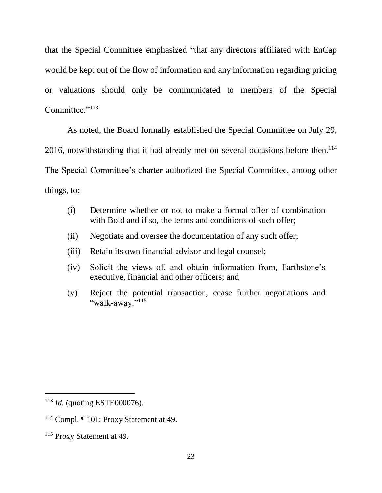that the Special Committee emphasized "that any directors affiliated with EnCap would be kept out of the flow of information and any information regarding pricing or valuations should only be communicated to members of the Special Committee."<sup>113</sup>

As noted, the Board formally established the Special Committee on July 29, 2016, notwithstanding that it had already met on several occasions before then. 114 The Special Committee's charter authorized the Special Committee, among other

things, to:

- (i) Determine whether or not to make a formal offer of combination with Bold and if so, the terms and conditions of such offer;
- (ii) Negotiate and oversee the documentation of any such offer;
- (iii) Retain its own financial advisor and legal counsel;
- (iv) Solicit the views of, and obtain information from, Earthstone's executive, financial and other officers; and
- (v) Reject the potential transaction, cease further negotiations and "walk-away."115

<sup>113</sup> *Id.* (quoting ESTE000076).

<sup>114</sup> Compl. ¶ 101; Proxy Statement at 49.

<sup>115</sup> Proxy Statement at 49.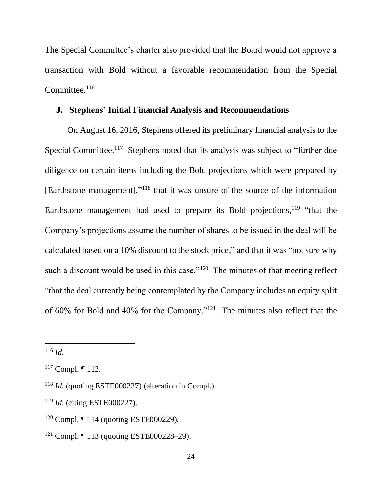The Special Committee's charter also provided that the Board would not approve a transaction with Bold without a favorable recommendation from the Special Committee. $116$ 

### **J. Stephens' Initial Financial Analysis and Recommendations**

On August 16, 2016, Stephens offered its preliminary financial analysis to the Special Committee.<sup>117</sup> Stephens noted that its analysis was subject to "further due diligence on certain items including the Bold projections which were prepared by [Earthstone management],"<sup>118</sup> that it was unsure of the source of the information Earthstone management had used to prepare its Bold projections,  $119$  "that the Company's projections assume the number of shares to be issued in the deal will be calculated based on a 10% discount to the stock price," and that it was "not sure why such a discount would be used in this case."<sup>120</sup> The minutes of that meeting reflect "that the deal currently being contemplated by the Company includes an equity split of 60% for Bold and 40% for the Company."<sup>121</sup> The minutes also reflect that the

<sup>116</sup> *Id.*

 $117$  Compl.  $\P$  112.

<sup>118</sup> *Id.* (quoting ESTE000227) (alteration in Compl.).

<sup>119</sup> *Id.* (citing ESTE000227).

<sup>120</sup> Compl. ¶ 114 (quoting ESTE000229).

<sup>121</sup> Compl. ¶ 113 (quoting ESTE000228–29).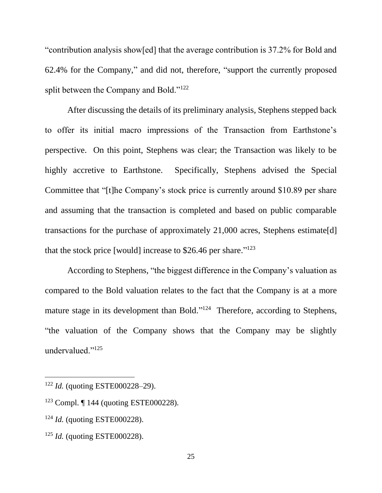"contribution analysis show[ed] that the average contribution is 37.2% for Bold and 62.4% for the Company," and did not, therefore, "support the currently proposed split between the Company and Bold."<sup>122</sup>

After discussing the details of its preliminary analysis, Stephens stepped back to offer its initial macro impressions of the Transaction from Earthstone's perspective. On this point, Stephens was clear; the Transaction was likely to be highly accretive to Earthstone. Specifically, Stephens advised the Special Committee that "[t]he Company's stock price is currently around \$10.89 per share and assuming that the transaction is completed and based on public comparable transactions for the purchase of approximately 21,000 acres, Stephens estimate[d] that the stock price [would] increase to  $$26.46$  per share."<sup>123</sup>

According to Stephens, "the biggest difference in the Company's valuation as compared to the Bold valuation relates to the fact that the Company is at a more mature stage in its development than Bold."<sup>124</sup> Therefore, according to Stephens, "the valuation of the Company shows that the Company may be slightly undervalued."<sup>125</sup>

<sup>122</sup> *Id.* (quoting ESTE000228–29).

<sup>123</sup> Compl. ¶ 144 (quoting ESTE000228).

<sup>124</sup> *Id.* (quoting ESTE000228).

<sup>125</sup> *Id.* (quoting ESTE000228).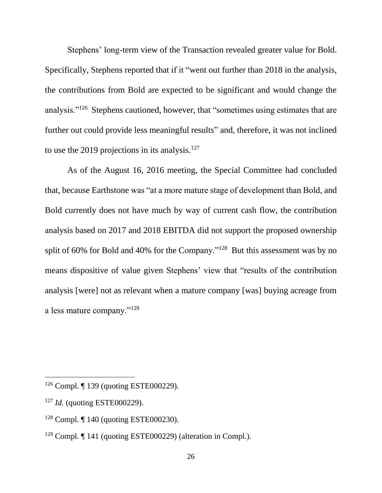Stephens' long-term view of the Transaction revealed greater value for Bold. Specifically, Stephens reported that if it "went out further than 2018 in the analysis, the contributions from Bold are expected to be significant and would change the analysis."<sup>126</sup> Stephens cautioned, however, that "sometimes using estimates that are further out could provide less meaningful results" and, therefore, it was not inclined to use the 2019 projections in its analysis.<sup>127</sup>

As of the August 16, 2016 meeting, the Special Committee had concluded that, because Earthstone was "at a more mature stage of development than Bold, and Bold currently does not have much by way of current cash flow, the contribution analysis based on 2017 and 2018 EBITDA did not support the proposed ownership split of 60% for Bold and 40% for the Company." $128$  But this assessment was by no means dispositive of value given Stephens' view that "results of the contribution analysis [were] not as relevant when a mature company [was] buying acreage from a less mature company."<sup>129</sup>

<sup>126</sup> Compl. ¶ 139 (quoting ESTE000229).

<sup>127</sup> *Id.* (quoting ESTE000229).

<sup>128</sup> Compl. ¶ 140 (quoting ESTE000230).

<sup>129</sup> Compl. ¶ 141 (quoting ESTE000229) (alteration in Compl.).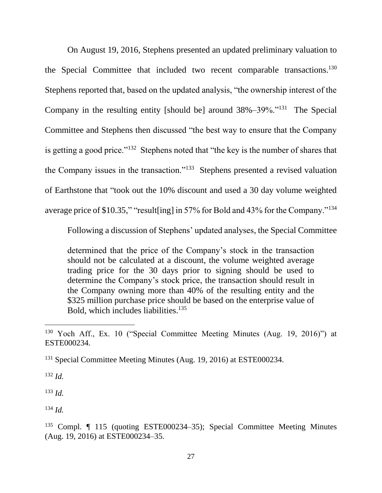On August 19, 2016, Stephens presented an updated preliminary valuation to the Special Committee that included two recent comparable transactions.<sup>130</sup> Stephens reported that, based on the updated analysis, "the ownership interest of the Company in the resulting entity [should be] around  $38\% - 39\%$ ."<sup>131</sup> The Special Committee and Stephens then discussed "the best way to ensure that the Company is getting a good price."<sup>132</sup> Stephens noted that "the key is the number of shares that the Company issues in the transaction."<sup>133</sup> Stephens presented a revised valuation of Earthstone that "took out the 10% discount and used a 30 day volume weighted average price of \$10.35," "result[ing] in 57% for Bold and 43% for the Company."<sup>134</sup>

Following a discussion of Stephens' updated analyses, the Special Committee

determined that the price of the Company's stock in the transaction should not be calculated at a discount, the volume weighted average trading price for the 30 days prior to signing should be used to determine the Company's stock price, the transaction should result in the Company owning more than 40% of the resulting entity and the \$325 million purchase price should be based on the enterprise value of Bold, which includes liabilities.<sup>135</sup>

<sup>132</sup> *Id.*

 $\overline{a}$ 

<sup>133</sup> *Id.*

<sup>134</sup> *Id.*

<sup>130</sup> Yoch Aff., Ex. 10 ("Special Committee Meeting Minutes (Aug. 19, 2016)") at ESTE000234.

<sup>&</sup>lt;sup>131</sup> Special Committee Meeting Minutes (Aug. 19, 2016) at ESTE000234.

<sup>&</sup>lt;sup>135</sup> Compl. ¶ 115 (quoting ESTE000234–35); Special Committee Meeting Minutes (Aug. 19, 2016) at ESTE000234–35.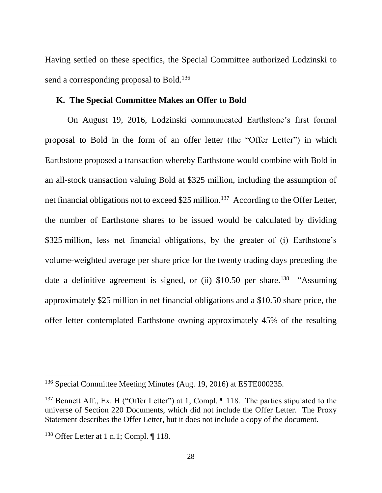Having settled on these specifics, the Special Committee authorized Lodzinski to send a corresponding proposal to Bold.<sup>136</sup>

### **K. The Special Committee Makes an Offer to Bold**

On August 19, 2016, Lodzinski communicated Earthstone's first formal proposal to Bold in the form of an offer letter (the "Offer Letter") in which Earthstone proposed a transaction whereby Earthstone would combine with Bold in an all-stock transaction valuing Bold at \$325 million, including the assumption of net financial obligations not to exceed \$25 million.<sup>137</sup> According to the Offer Letter, the number of Earthstone shares to be issued would be calculated by dividing \$325 million, less net financial obligations, by the greater of (i) Earthstone's volume-weighted average per share price for the twenty trading days preceding the date a definitive agreement is signed, or (ii)  $$10.50$  per share.<sup>138</sup> "Assuming approximately \$25 million in net financial obligations and a \$10.50 share price, the offer letter contemplated Earthstone owning approximately 45% of the resulting

<sup>&</sup>lt;sup>136</sup> Special Committee Meeting Minutes (Aug. 19, 2016) at ESTE000235.

<sup>&</sup>lt;sup>137</sup> Bennett Aff., Ex. H ("Offer Letter") at 1; Compl. ¶ 118. The parties stipulated to the universe of Section 220 Documents, which did not include the Offer Letter. The Proxy Statement describes the Offer Letter, but it does not include a copy of the document.

<sup>&</sup>lt;sup>138</sup> Offer Letter at 1 n.1; Compl.  $\P$  118.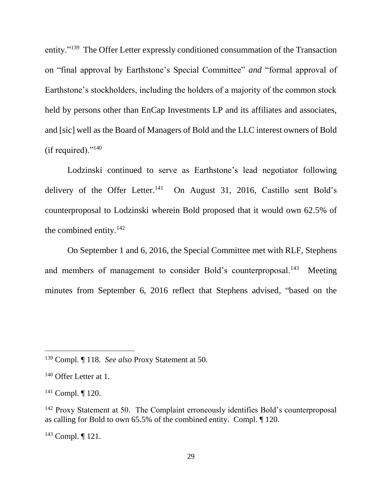entity."<sup>139</sup> The Offer Letter expressly conditioned consummation of the Transaction on "final approval by Earthstone's Special Committee" *and* "formal approval of Earthstone's stockholders, including the holders of a majority of the common stock held by persons other than EnCap Investments LP and its affiliates and associates, and [sic] well as the Board of Managers of Bold and the LLC interest owners of Bold (if required)." $^{140}$ 

Lodzinski continued to serve as Earthstone's lead negotiator following delivery of the Offer Letter.<sup>141</sup> On August 31, 2016, Castillo sent Bold's counterproposal to Lodzinski wherein Bold proposed that it would own 62.5% of the combined entity.<sup>142</sup>

On September 1 and 6, 2016, the Special Committee met with RLF, Stephens and members of management to consider Bold's counterproposal.<sup>143</sup> Meeting minutes from September 6, 2016 reflect that Stephens advised, "based on the

<sup>139</sup> Compl. ¶ 118. *See also* Proxy Statement at 50.

<sup>&</sup>lt;sup>140</sup> Offer Letter at 1.

 $141$  Compl.  $\P$  120.

<sup>&</sup>lt;sup>142</sup> Proxy Statement at 50. The Complaint erroneously identifies Bold's counterproposal as calling for Bold to own 65.5% of the combined entity. Compl. ¶ 120.

<sup>143</sup> Compl. ¶ 121.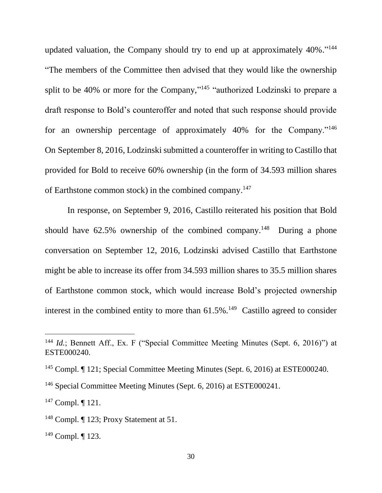updated valuation, the Company should try to end up at approximately 40%."<sup>144</sup> "The members of the Committee then advised that they would like the ownership split to be 40% or more for the Company,"<sup>145</sup> "authorized Lodzinski to prepare a draft response to Bold's counteroffer and noted that such response should provide for an ownership percentage of approximately 40% for the Company."<sup>146</sup> On September 8, 2016, Lodzinski submitted a counteroffer in writing to Castillo that provided for Bold to receive 60% ownership (in the form of 34.593 million shares of Earthstone common stock) in the combined company.<sup>147</sup>

In response, on September 9, 2016, Castillo reiterated his position that Bold should have  $62.5\%$  ownership of the combined company.<sup>148</sup> During a phone conversation on September 12, 2016, Lodzinski advised Castillo that Earthstone might be able to increase its offer from 34.593 million shares to 35.5 million shares of Earthstone common stock, which would increase Bold's projected ownership interest in the combined entity to more than  $61.5\%$ .<sup>149</sup> Castillo agreed to consider

<sup>&</sup>lt;sup>144</sup> *Id.*; Bennett Aff., Ex. F ("Special Committee Meeting Minutes (Sept. 6, 2016)") at ESTE000240.

<sup>145</sup> Compl. ¶ 121; Special Committee Meeting Minutes (Sept. 6, 2016) at ESTE000240.

<sup>146</sup> Special Committee Meeting Minutes (Sept. 6, 2016) at ESTE000241.

 $147$  Compl.  $\P$  121.

<sup>&</sup>lt;sup>148</sup> Compl. [123; Proxy Statement at 51.

<sup>149</sup> Compl. ¶ 123.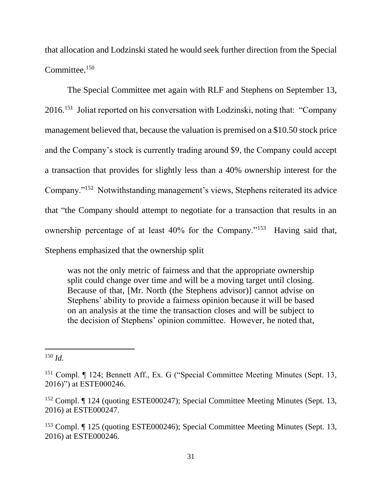that allocation and Lodzinski stated he would seek further direction from the Special Committee.<sup>150</sup>

The Special Committee met again with RLF and Stephens on September 13, 2016.<sup>151</sup> Joliat reported on his conversation with Lodzinski, noting that: "Company management believed that, because the valuation is premised on a \$10.50 stock price and the Company's stock is currently trading around \$9, the Company could accept a transaction that provides for slightly less than a 40% ownership interest for the Company."<sup>152</sup> Notwithstanding management's views, Stephens reiterated its advice that "the Company should attempt to negotiate for a transaction that results in an ownership percentage of at least 40% for the Company."<sup>153</sup> Having said that, Stephens emphasized that the ownership split

was not the only metric of fairness and that the appropriate ownership split could change over time and will be a moving target until closing. Because of that, [Mr. North (the Stephens advisor)] cannot advise on Stephens' ability to provide a fairness opinion because it will be based on an analysis at the time the transaction closes and will be subject to the decision of Stephens' opinion committee. However, he noted that,

 $\overline{a}$ <sup>150</sup> *Id.*

<sup>&</sup>lt;sup>151</sup> Compl. ¶ 124; Bennett Aff., Ex. G ("Special Committee Meeting Minutes (Sept. 13, 2016)") at ESTE000246.

<sup>152</sup> Compl. ¶ 124 (quoting ESTE000247); Special Committee Meeting Minutes (Sept. 13, 2016) at ESTE000247.

<sup>153</sup> Compl. ¶ 125 (quoting ESTE000246); Special Committee Meeting Minutes (Sept. 13, 2016) at ESTE000246.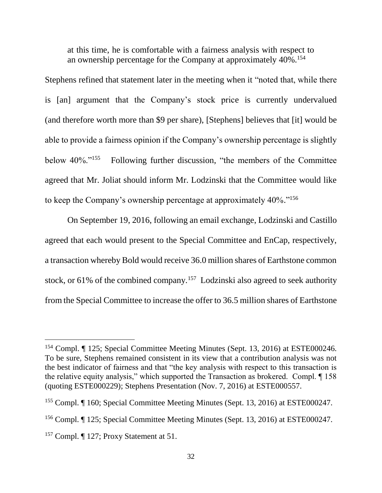at this time, he is comfortable with a fairness analysis with respect to an ownership percentage for the Company at approximately  $40\%$ <sup>154</sup>

Stephens refined that statement later in the meeting when it "noted that, while there is [an] argument that the Company's stock price is currently undervalued (and therefore worth more than \$9 per share), [Stephens] believes that [it] would be able to provide a fairness opinion if the Company's ownership percentage is slightly below 40%."<sup>155</sup> Following further discussion, "the members of the Committee agreed that Mr. Joliat should inform Mr. Lodzinski that the Committee would like to keep the Company's ownership percentage at approximately 40%."<sup>156</sup>

On September 19, 2016, following an email exchange, Lodzinski and Castillo agreed that each would present to the Special Committee and EnCap, respectively, a transaction whereby Bold would receive 36.0 million shares of Earthstone common stock, or  $61\%$  of the combined company.<sup>157</sup> Lodzinski also agreed to seek authority from the Special Committee to increase the offer to 36.5 million shares of Earthstone

<sup>154</sup> Compl. ¶ 125; Special Committee Meeting Minutes (Sept. 13, 2016) at ESTE000246. To be sure, Stephens remained consistent in its view that a contribution analysis was not the best indicator of fairness and that "the key analysis with respect to this transaction is the relative equity analysis," which supported the Transaction as brokered. Compl. ¶ 158 (quoting ESTE000229); Stephens Presentation (Nov. 7, 2016) at ESTE000557.

<sup>155</sup> Compl. ¶ 160; Special Committee Meeting Minutes (Sept. 13, 2016) at ESTE000247.

<sup>156</sup> Compl. ¶ 125; Special Committee Meeting Minutes (Sept. 13, 2016) at ESTE000247.

<sup>&</sup>lt;sup>157</sup> Compl. ¶ 127; Proxy Statement at 51.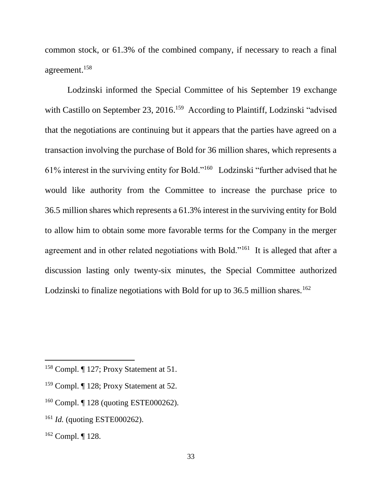common stock, or 61.3% of the combined company, if necessary to reach a final agreement. 158

Lodzinski informed the Special Committee of his September 19 exchange with Castillo on September 23, 2016.<sup>159</sup> According to Plaintiff, Lodzinski "advised that the negotiations are continuing but it appears that the parties have agreed on a transaction involving the purchase of Bold for 36 million shares, which represents a 61% interest in the surviving entity for Bold."<sup>160</sup> Lodzinski "further advised that he would like authority from the Committee to increase the purchase price to 36.5 million shares which represents a 61.3% interest in the surviving entity for Bold to allow him to obtain some more favorable terms for the Company in the merger agreement and in other related negotiations with Bold."<sup>161</sup> It is alleged that after a discussion lasting only twenty-six minutes, the Special Committee authorized Lodzinski to finalize negotiations with Bold for up to 36.5 million shares.<sup>162</sup>

- <sup>159</sup> Compl. ¶ 128; Proxy Statement at 52.
- <sup>160</sup> Compl. ¶ 128 (quoting ESTE000262).
- <sup>161</sup> *Id.* (quoting ESTE000262).
- <sup>162</sup> Compl. ¶ 128.

<sup>158</sup> Compl. ¶ 127; Proxy Statement at 51.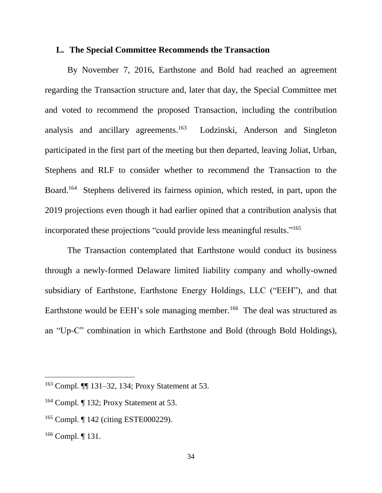#### **L. The Special Committee Recommends the Transaction**

By November 7, 2016, Earthstone and Bold had reached an agreement regarding the Transaction structure and, later that day, the Special Committee met and voted to recommend the proposed Transaction, including the contribution analysis and ancillary agreements. 163 Lodzinski, Anderson and Singleton participated in the first part of the meeting but then departed, leaving Joliat, Urban, Stephens and RLF to consider whether to recommend the Transaction to the Board. <sup>164</sup> Stephens delivered its fairness opinion, which rested, in part, upon the 2019 projections even though it had earlier opined that a contribution analysis that incorporated these projections "could provide less meaningful results." 165

The Transaction contemplated that Earthstone would conduct its business through a newly-formed Delaware limited liability company and wholly-owned subsidiary of Earthstone, Earthstone Energy Holdings, LLC ("EEH"), and that Earthstone would be EEH's sole managing member.<sup>166</sup> The deal was structured as an "Up-C" combination in which Earthstone and Bold (through Bold Holdings),

<sup>163</sup> Compl. ¶¶ 131–32, 134; Proxy Statement at 53.

<sup>164</sup> Compl. ¶ 132; Proxy Statement at 53.

<sup>&</sup>lt;sup>165</sup> Compl. ¶ 142 (citing ESTE000229).

<sup>166</sup> Compl. ¶ 131.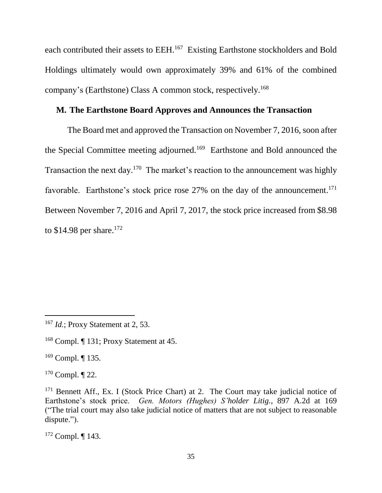each contributed their assets to EEH.<sup>167</sup> Existing Earthstone stockholders and Bold Holdings ultimately would own approximately 39% and 61% of the combined company's (Earthstone) Class A common stock, respectively.<sup>168</sup>

# **M. The Earthstone Board Approves and Announces the Transaction**

The Board met and approved the Transaction on November 7, 2016, soon after the Special Committee meeting adjourned.<sup>169</sup> Earthstone and Bold announced the Transaction the next day.<sup>170</sup> The market's reaction to the announcement was highly favorable. Earthstone's stock price rose 27% on the day of the announcement.<sup>171</sup> Between November 7, 2016 and April 7, 2017, the stock price increased from \$8.98 to  $$14.98$  per share.<sup>172</sup>

 $169$  Compl. ¶ 135.

 $\overline{a}$ 

 $170$  Compl.  $\P$  22.

<sup>&</sup>lt;sup>167</sup> *Id.*; Proxy Statement at 2, 53.

<sup>168</sup> Compl. ¶ 131; Proxy Statement at 45.

 $171$  Bennett Aff., Ex. I (Stock Price Chart) at 2. The Court may take judicial notice of Earthstone's stock price. *Gen. Motors (Hughes) S'holder Litig.*, 897 A.2d at 169 ("The trial court may also take judicial notice of matters that are not subject to reasonable dispute.").

<sup>172</sup> Compl. ¶ 143.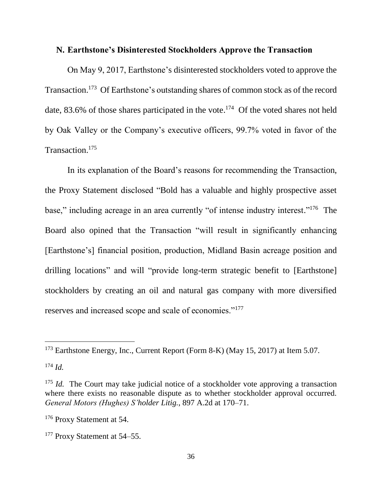### **N. Earthstone's Disinterested Stockholders Approve the Transaction**

On May 9, 2017, Earthstone's disinterested stockholders voted to approve the Transaction.<sup>173</sup> Of Earthstone's outstanding shares of common stock as of the record date, 83.6% of those shares participated in the vote.<sup>174</sup> Of the voted shares not held by Oak Valley or the Company's executive officers, 99.7% voted in favor of the Transaction.<sup>175</sup>

In its explanation of the Board's reasons for recommending the Transaction, the Proxy Statement disclosed "Bold has a valuable and highly prospective asset base," including acreage in an area currently "of intense industry interest."<sup>176</sup> The Board also opined that the Transaction "will result in significantly enhancing [Earthstone's] financial position, production, Midland Basin acreage position and drilling locations" and will "provide long-term strategic benefit to [Earthstone] stockholders by creating an oil and natural gas company with more diversified reserves and increased scope and scale of economies."<sup>177</sup>

<sup>173</sup> Earthstone Energy, Inc., Current Report (Form 8-K) (May 15, 2017) at Item 5.07.

<sup>174</sup> *Id.*

<sup>&</sup>lt;sup>175</sup> *Id.* The Court may take judicial notice of a stockholder vote approving a transaction where there exists no reasonable dispute as to whether stockholder approval occurred. *General Motors (Hughes) S'holder Litig.*, 897 A.2d at 170–71.

<sup>176</sup> Proxy Statement at 54.

<sup>&</sup>lt;sup>177</sup> Proxy Statement at 54–55.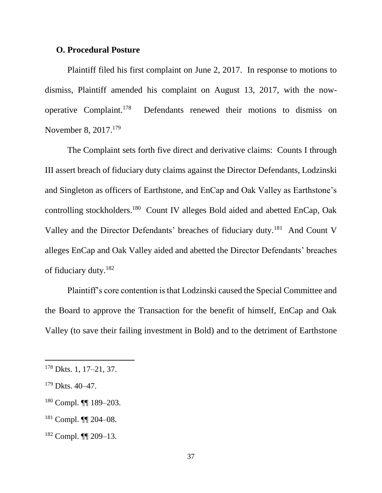#### **O. Procedural Posture**

Plaintiff filed his first complaint on June 2, 2017. In response to motions to dismiss, Plaintiff amended his complaint on August 13, 2017, with the nowoperative Complaint. Defendants renewed their motions to dismiss on November 8, 2017.<sup>179</sup>

The Complaint sets forth five direct and derivative claims: Counts I through III assert breach of fiduciary duty claims against the Director Defendants, Lodzinski and Singleton as officers of Earthstone, and EnCap and Oak Valley as Earthstone's controlling stockholders.<sup>180</sup> Count IV alleges Bold aided and abetted EnCap, Oak Valley and the Director Defendants' breaches of fiduciary duty.<sup>181</sup> And Count V alleges EnCap and Oak Valley aided and abetted the Director Defendants' breaches of fiduciary duty.<sup>182</sup>

Plaintiff's core contention is that Lodzinski caused the Special Committee and the Board to approve the Transaction for the benefit of himself, EnCap and Oak Valley (to save their failing investment in Bold) and to the detriment of Earthstone

<sup>178</sup> Dkts. 1, 17–21, 37.

 $179$  Dkts. 40–47.

<sup>180</sup> Compl. ¶¶ 189–203.

<sup>181</sup> Compl. ¶¶ 204–08.

<sup>182</sup> Compl. ¶¶ 209–13.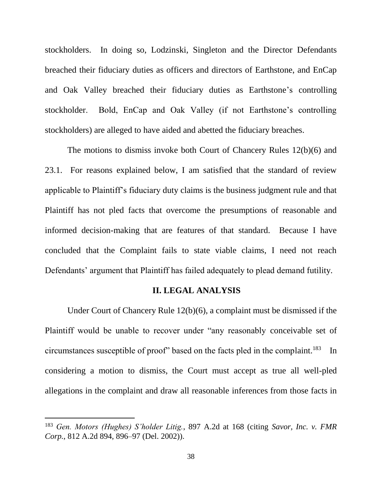stockholders. In doing so, Lodzinski, Singleton and the Director Defendants breached their fiduciary duties as officers and directors of Earthstone, and EnCap and Oak Valley breached their fiduciary duties as Earthstone's controlling stockholder. Bold, EnCap and Oak Valley (if not Earthstone's controlling stockholders) are alleged to have aided and abetted the fiduciary breaches.

The motions to dismiss invoke both Court of Chancery Rules 12(b)(6) and 23.1. For reasons explained below, I am satisfied that the standard of review applicable to Plaintiff's fiduciary duty claims is the business judgment rule and that Plaintiff has not pled facts that overcome the presumptions of reasonable and informed decision-making that are features of that standard. Because I have concluded that the Complaint fails to state viable claims, I need not reach Defendants' argument that Plaintiff has failed adequately to plead demand futility.

#### **II. LEGAL ANALYSIS**

Under Court of Chancery Rule 12(b)(6), a complaint must be dismissed if the Plaintiff would be unable to recover under "any reasonably conceivable set of circumstances susceptible of proof" based on the facts pled in the complaint.<sup>183</sup> In considering a motion to dismiss, the Court must accept as true all well-pled allegations in the complaint and draw all reasonable inferences from those facts in

<sup>183</sup> *Gen. Motors (Hughes) S'holder Litig.*, 897 A.2d at 168 (citing *[Savor, Inc. v. FMR](https://1.next.westlaw.com/Link/Document/FullText?findType=Y&serNum=2002789824&pubNum=0000162&originatingDoc=Ia10fb782ba7611dab6b19d807577f4c3&refType=RP&fi=co_pp_sp_162_896&originationContext=document&transitionType=DocumentItem&contextData=(sc.UserEnteredCitation)#co_pp_sp_162_896)  Corp.*, [812 A.2d 894, 896–97](https://1.next.westlaw.com/Link/Document/FullText?findType=Y&serNum=2002789824&pubNum=0000162&originatingDoc=Ia10fb782ba7611dab6b19d807577f4c3&refType=RP&fi=co_pp_sp_162_896&originationContext=document&transitionType=DocumentItem&contextData=(sc.UserEnteredCitation)#co_pp_sp_162_896) (Del. 2002)).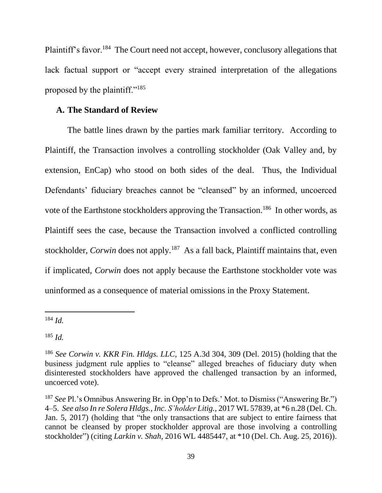Plaintiff's favor.<sup>184</sup> The Court need not accept, however, conclusory allegations that lack factual support or "accept every strained interpretation of the allegations proposed by the plaintiff."<sup>185</sup>

## **A. The Standard of Review**

The battle lines drawn by the parties mark familiar territory. According to Plaintiff, the Transaction involves a controlling stockholder (Oak Valley and, by extension, EnCap) who stood on both sides of the deal. Thus, the Individual Defendants' fiduciary breaches cannot be "cleansed" by an informed, uncoerced vote of the Earthstone stockholders approving the Transaction.<sup>186</sup> In other words, as Plaintiff sees the case, because the Transaction involved a conflicted controlling stockholder, *Corwin* does not apply.<sup>187</sup> As a fall back, Plaintiff maintains that, even if implicated, *Corwin* does not apply because the Earthstone stockholder vote was uninformed as a consequence of material omissions in the Proxy Statement.

<sup>184</sup> *Id.*

l

<sup>185</sup> *Id.*

<sup>186</sup> *See Corwin v. KKR Fin. Hldgs. LLC*, 125 A.3d 304, 309 (Del. 2015) (holding that the business judgment rule applies to "cleanse" alleged breaches of fiduciary duty when disinterested stockholders have approved the challenged transaction by an informed, uncoerced vote).

<sup>187</sup> *See* Pl.'s Omnibus Answering Br. in Opp'n to Defs.' Mot. to Dismiss ("Answering Br.") 4–5. *See also In re Solera Hldgs., Inc. S'holder Litig.*, 2017 WL 57839, at \*6 n.28 (Del. Ch. Jan. 5, 2017) (holding that "the only transactions that are subject to entire fairness that cannot be cleansed by proper stockholder approval are those involving a controlling stockholder") (citing *Larkin v. Shah*, 2016 WL 4485447, at \*10 (Del. Ch. Aug. 25, 2016)).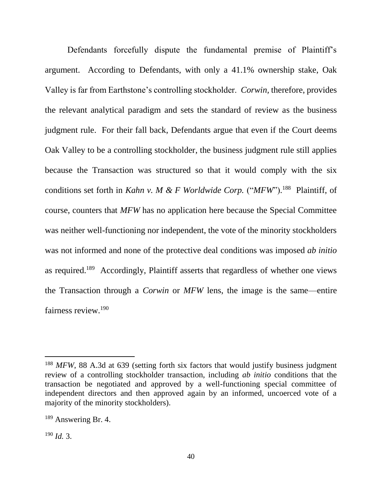Defendants forcefully dispute the fundamental premise of Plaintiff's argument. According to Defendants, with only a 41.1% ownership stake, Oak Valley is far from Earthstone's controlling stockholder. *Corwin,* therefore, provides the relevant analytical paradigm and sets the standard of review as the business judgment rule. For their fall back, Defendants argue that even if the Court deems Oak Valley to be a controlling stockholder, the business judgment rule still applies because the Transaction was structured so that it would comply with the six conditions set forth in *Kahn v. M & F Worldwide Corp.* ("*MFW*").<sup>188</sup> Plaintiff, of course, counters that *MFW* has no application here because the Special Committee was neither well-functioning nor independent, the vote of the minority stockholders was not informed and none of the protective deal conditions was imposed *ab initio*  as required.<sup>189</sup> Accordingly, Plaintiff asserts that regardless of whether one views the Transaction through a *Corwin* or *MFW* lens, the image is the same—entire fairness review.<sup>190</sup>

<sup>&</sup>lt;sup>188</sup> *MFW*, 88 A.3d at 639 (setting forth six factors that would justify business judgment review of a controlling stockholder transaction, including *ab initio* conditions that the transaction be negotiated and approved by a well-functioning special committee of independent directors and then approved again by an informed, uncoerced vote of a majority of the minority stockholders).

<sup>189</sup> Answering Br. 4.

<sup>190</sup> *Id.* 3.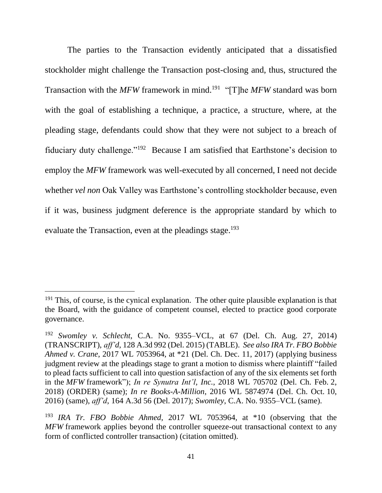The parties to the Transaction evidently anticipated that a dissatisfied stockholder might challenge the Transaction post-closing and, thus, structured the Transaction with the *MFW* framework in mind. 191 "[T]he *MFW* standard was born with the goal of establishing a technique, a practice, a structure, where, at the pleading stage, defendants could show that they were not subject to a breach of fiduciary duty challenge."<sup>192</sup> Because I am satisfied that Earthstone's decision to employ the *MFW* framework was well-executed by all concerned, I need not decide whether *vel non* Oak Valley was Earthstone's controlling stockholder because, even if it was, business judgment deference is the appropriate standard by which to evaluate the Transaction, even at the pleadings stage.<sup>193</sup>

 $191$  This, of course, is the cynical explanation. The other quite plausible explanation is that the Board, with the guidance of competent counsel, elected to practice good corporate governance.

<sup>192</sup> *Swomley v. Schlecht*, C.A. No. 9355–VCL, at 67 (Del. Ch. Aug. 27, 2014) (TRANSCRIPT), *aff'd*, 128 A.3d 992 (Del. 2015) (TABLE). *See also IRA Tr. FBO Bobbie Ahmed v. Crane*, 2017 WL 7053964, at \*21 (Del. Ch. Dec. 11, 2017) (applying business judgment review at the pleadings stage to grant a motion to dismiss where plaintiff "failed to plead facts sufficient to call into question satisfaction of any of the six elements set forth in the *MFW* framework"); *In re Synutra Int'l, Inc.*, 2018 WL 705702 (Del. Ch. Feb. 2, 2018) (ORDER) (same); *In re Books-A-Million*, 2016 WL 5874974 (Del. Ch. Oct. 10, 2016) (same), *aff'd*, 164 A.3d 56 (Del. 2017); *Swomley*, C.A. No. 9355–VCL (same).

<sup>193</sup> *IRA Tr. FBO Bobbie Ahmed*, 2017 WL 7053964, at \*10 (observing that the *MFW* framework applies beyond the controller squeeze-out transactional context to any form of conflicted controller transaction) (citation omitted).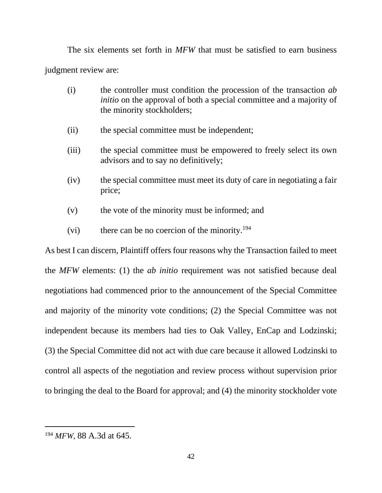The six elements set forth in *MFW* that must be satisfied to earn business judgment review are:

- (i) the controller must condition the procession of the transaction *ab initio* on the approval of both a special committee and a majority of the minority stockholders;
- (ii) the special committee must be independent;
- (iii) the special committee must be empowered to freely select its own advisors and to say no definitively;
- (iv) the special committee must meet its duty of care in negotiating a fair price;
- (v) the vote of the minority must be informed; and
- (vi) there can be no coercion of the minority.<sup>194</sup>

As best I can discern, Plaintiff offers four reasons why the Transaction failed to meet the *MFW* elements: (1) the *ab initio* requirement was not satisfied because deal negotiations had commenced prior to the announcement of the Special Committee and majority of the minority vote conditions; (2) the Special Committee was not independent because its members had ties to Oak Valley, EnCap and Lodzinski; (3) the Special Committee did not act with due care because it allowed Lodzinski to control all aspects of the negotiation and review process without supervision prior to bringing the deal to the Board for approval; and (4) the minority stockholder vote

<sup>194</sup> *MFW*, 88 A.3d at 645.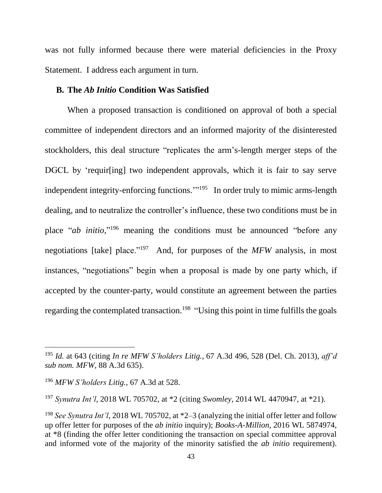was not fully informed because there were material deficiencies in the Proxy Statement. I address each argument in turn.

#### **B. The** *Ab Initio* **Condition Was Satisfied**

When a proposed transaction is conditioned on approval of both a special committee of independent directors and an informed majority of the disinterested stockholders, this deal structure "replicates the arm's-length merger steps of the DGCL by 'requir[ing] two independent approvals, which it is fair to say serve independent integrity-enforcing functions.'" 195 In order truly to mimic arms-length dealing, and to neutralize the controller's influence, these two conditions must be in place "*ab initio*," <sup>196</sup> meaning the conditions must be announced "before any negotiations [take] place."<sup>197</sup> And, for purposes of the *MFW* analysis, in most instances, "negotiations" begin when a proposal is made by one party which, if accepted by the counter-party, would constitute an agreement between the parties regarding the contemplated transaction.<sup>198</sup> "Using this point in time fulfills the goals

<sup>195</sup> *Id.* at 643 (citing *In re MFW S'holders Litig.*, 67 A.3d 496, 528 (Del. Ch. 2013), *aff'd sub nom. MFW*, 88 A.3d 635).

<sup>196</sup> *MFW S'holders Litig.*, 67 A.3d at 528.

<sup>197</sup> *Synutra Int'l*, 2018 WL 705702, at \*2 (citing *Swomley*, 2014 WL 4470947, at \*21).

<sup>198</sup> *See Synutra Int'l*, 2018 WL 705702, at \*2–3 (analyzing the initial offer letter and follow up offer letter for purposes of the *ab initio* inquiry); *Books-A-Million*, 2016 WL 5874974, at \*8 (finding the offer letter conditioning the transaction on special committee approval and informed vote of the majority of the minority satisfied the *ab initio* requirement).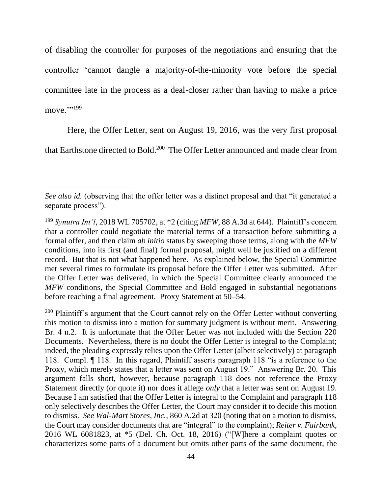of disabling the controller for purposes of the negotiations and ensuring that the controller 'cannot dangle a majority-of-the-minority vote before the special committee late in the process as a deal-closer rather than having to make a price move.""<sup>199</sup>

Here, the Offer Letter, sent on August 19, 2016, was the very first proposal

that Earthstone directed to Bold.<sup>200</sup> The Offer Letter announced and made clear from

 $\overline{a}$ 

<sup>200</sup> Plaintiff's argument that the Court cannot rely on the Offer Letter without converting this motion to dismiss into a motion for summary judgment is without merit. Answering Br. 4 n.2. It is unfortunate that the Offer Letter was not included with the Section 220 Documents. Nevertheless, there is no doubt the Offer Letter is integral to the Complaint; indeed, the pleading expressly relies upon the Offer Letter (albeit selectively) at paragraph 118. Compl. ¶ 118. In this regard, Plaintiff asserts paragraph 118 "is a reference to the Proxy, which merely states that a letter was sent on August 19." Answering Br. 20. This argument falls short, however, because paragraph 118 does not reference the Proxy Statement directly (or quote it) nor does it allege *only* that a letter was sent on August 19. Because I am satisfied that the Offer Letter is integral to the Complaint and paragraph 118 only selectively describes the Offer Letter, the Court may consider it to decide this motion to dismiss. *See Wal-Mart Stores, Inc.,* 860 A.2d at 320 (noting that on a motion to dismiss, the Court may consider documents that are "integral" to the complaint); *Reiter v. Fairbank*, 2016 WL 6081823, at \*5 (Del. Ch. Oct. 18, 2016) ("[W]here a complaint quotes or characterizes some parts of a document but omits other parts of the same document, the

*See also id.* (observing that the offer letter was a distinct proposal and that "it generated a separate process").

<sup>199</sup> *Synutra Int'l*, 2018 WL 705702, at \*2 (citing *MFW*, 88 A.3d at 644). Plaintiff's concern that a controller could negotiate the material terms of a transaction before submitting a formal offer, and then claim *ab initio* status by sweeping those terms, along with the *MFW*  conditions, into its first (and final) formal proposal, might well be justified on a different record. But that is not what happened here. As explained below, the Special Committee met several times to formulate its proposal before the Offer Letter was submitted. After the Offer Letter was delivered, in which the Special Committee clearly announced the *MFW* conditions, the Special Committee and Bold engaged in substantial negotiations before reaching a final agreement. Proxy Statement at 50–54.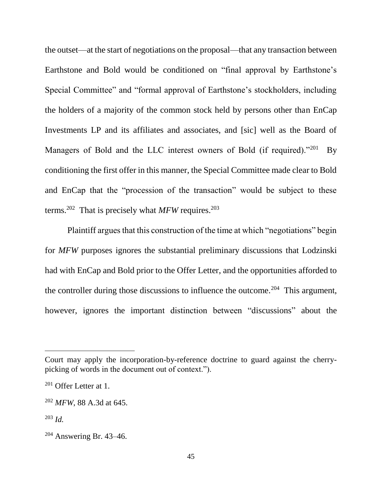the outset—at the start of negotiations on the proposal—that any transaction between Earthstone and Bold would be conditioned on "final approval by Earthstone's Special Committee" and "formal approval of Earthstone's stockholders, including the holders of a majority of the common stock held by persons other than EnCap Investments LP and its affiliates and associates, and [sic] well as the Board of Managers of Bold and the LLC interest owners of Bold (if required)."201 By conditioning the first offer in this manner, the Special Committee made clear to Bold and EnCap that the "procession of the transaction" would be subject to these terms.<sup>202</sup> That is precisely what *MFW* requires.<sup>203</sup>

Plaintiff argues that this construction of the time at which "negotiations" begin for *MFW* purposes ignores the substantial preliminary discussions that Lodzinski had with EnCap and Bold prior to the Offer Letter, and the opportunities afforded to the controller during those discussions to influence the outcome.<sup>204</sup> This argument, however, ignores the important distinction between "discussions" about the

Court may apply the incorporation-by-reference doctrine to guard against the cherrypicking of words in the document out of context.").

 $201$  Offer Letter at 1.

<sup>202</sup> *MFW*, 88 A.3d at 645.

<sup>203</sup> *Id.*

<sup>204</sup> Answering Br. 43–46.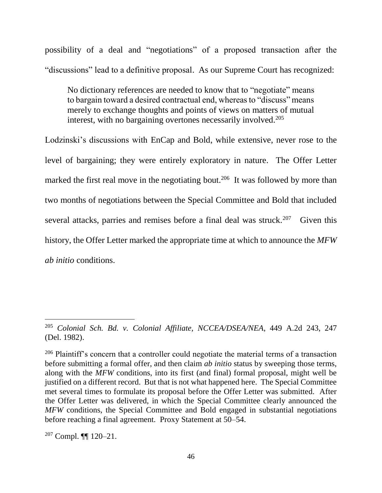possibility of a deal and "negotiations" of a proposed transaction after the "discussions" lead to a definitive proposal. As our Supreme Court has recognized:

No dictionary references are needed to know that to "negotiate" means to bargain toward a desired contractual end, whereas to "discuss" means merely to exchange thoughts and points of views on matters of mutual interest, with no bargaining overtones necessarily involved.<sup>205</sup>

Lodzinski's discussions with EnCap and Bold, while extensive, never rose to the level of bargaining; they were entirely exploratory in nature. The Offer Letter marked the first real move in the negotiating bout.<sup>206</sup> It was followed by more than two months of negotiations between the Special Committee and Bold that included several attacks, parries and remises before a final deal was struck.<sup>207</sup> Given this history, the Offer Letter marked the appropriate time at which to announce the *MFW ab initio* conditions.

<sup>205</sup> *Colonial Sch. Bd. v. Colonial Affiliate, NCCEA/DSEA/NEA*, 449 A.2d 243, 247 (Del. 1982).

 $206$  Plaintiff's concern that a controller could negotiate the material terms of a transaction before submitting a formal offer, and then claim *ab initio* status by sweeping those terms, along with the *MFW* conditions, into its first (and final) formal proposal, might well be justified on a different record. But that is not what happened here. The Special Committee met several times to formulate its proposal before the Offer Letter was submitted. After the Offer Letter was delivered, in which the Special Committee clearly announced the *MFW* conditions, the Special Committee and Bold engaged in substantial negotiations before reaching a final agreement. Proxy Statement at 50–54.

<sup>207</sup> Compl. ¶¶ 120–21.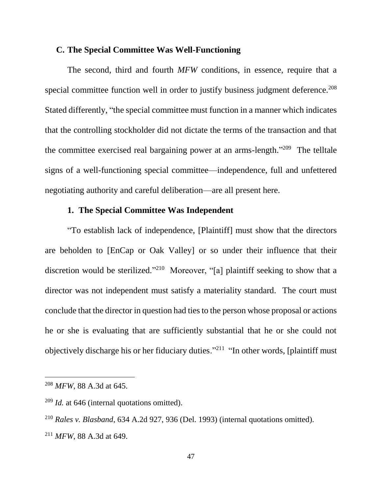### **C. The Special Committee Was Well-Functioning**

The second, third and fourth *MFW* conditions, in essence, require that a special committee function well in order to justify business judgment deference.<sup>208</sup> Stated differently, "the special committee must function in a manner which indicates that the controlling stockholder did not dictate the terms of the transaction and that the committee exercised real bargaining power at an arms-length."<sup>209</sup> The telltale signs of a well-functioning special committee—independence, full and unfettered negotiating authority and careful deliberation—are all present here.

# **1. The Special Committee Was Independent**

"To establish lack of independence, [Plaintiff] must show that the directors are beholden to [EnCap or Oak Valley] or so under their influence that their discretion would be sterilized."<sup>210</sup> Moreover, "[a] plaintiff seeking to show that a director was not independent must satisfy a materiality standard. The court must conclude that the director in question had ties to the person whose proposal or actions he or she is evaluating that are sufficiently substantial that he or she could not objectively discharge his or her fiduciary duties."<sup>211</sup> "In other words, [plaintiff must

<sup>208</sup> *MFW*, 88 A.3d at 645.

<sup>209</sup> *Id.* at 646 (internal quotations omitted).

<sup>210</sup> *Rales v. Blasband*, 634 A.2d 927, 936 (Del. 1993) (internal quotations omitted). <sup>211</sup> *MFW*, 88 A.3d at 649.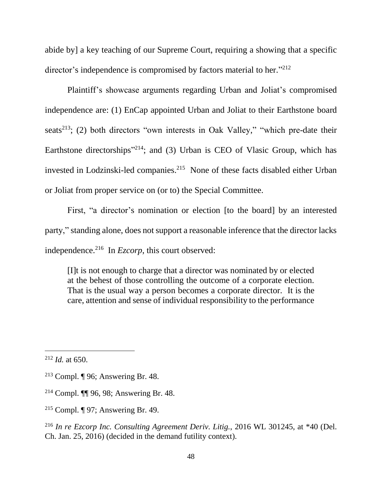abide by] a key teaching of our Supreme Court, requiring a showing that a specific director's independence is compromised by factors material to her."<sup>212</sup>

Plaintiff's showcase arguments regarding Urban and Joliat's compromised independence are: (1) EnCap appointed Urban and Joliat to their Earthstone board seats<sup>213</sup>; (2) both directors "own interests in Oak Valley," "which pre-date their Earthstone directorships<sup>"214</sup>; and (3) Urban is CEO of Vlasic Group, which has invested in Lodzinski-led companies.<sup>215</sup> None of these facts disabled either Urban or Joliat from proper service on (or to) the Special Committee.

First, "a director's nomination or election [to the board] by an interested party," standing alone, does not support a reasonable inference that the director lacks independence.<sup>216</sup> In *Ezcorp*, this court observed:

[I]t is not enough to charge that a director was nominated by or elected at the behest of those controlling the outcome of a corporate election. That is the usual way a person becomes a corporate director. It is the care, attention and sense of individual responsibility to the performance

<sup>212</sup> *Id.* at 650.

<sup>&</sup>lt;sup>213</sup> Compl. ¶ 96; Answering Br. 48.

<sup>214</sup> Compl. ¶¶ 96, 98; Answering Br. 48.

<sup>215</sup> Compl. ¶ 97; Answering Br. 49.

<sup>216</sup> *In re Ezcorp Inc. Consulting Agreement Deriv. Litig.*, 2016 WL 301245, at \*40 (Del. Ch. Jan. 25, 2016) (decided in the demand futility context).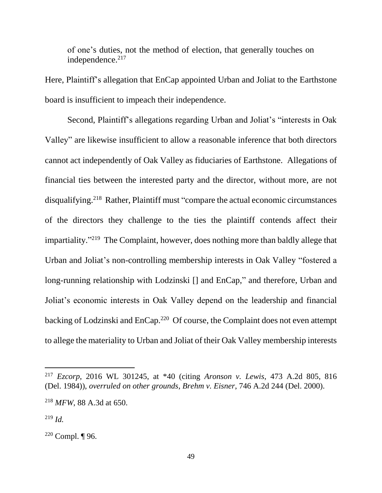of one's duties, not the method of election, that generally touches on independence. $217$ 

Here, Plaintiff's allegation that EnCap appointed Urban and Joliat to the Earthstone board is insufficient to impeach their independence.

Second, Plaintiff's allegations regarding Urban and Joliat's "interests in Oak Valley" are likewise insufficient to allow a reasonable inference that both directors cannot act independently of Oak Valley as fiduciaries of Earthstone. Allegations of financial ties between the interested party and the director, without more, are not disqualifying.<sup>218</sup> Rather, Plaintiff must "compare the actual economic circumstances of the directors they challenge to the ties the plaintiff contends affect their impartiality."<sup>219</sup> The Complaint, however, does nothing more than baldly allege that Urban and Joliat's non-controlling membership interests in Oak Valley "fostered a long-running relationship with Lodzinski [] and EnCap," and therefore, Urban and Joliat's economic interests in Oak Valley depend on the leadership and financial backing of Lodzinski and EnCap.<sup>220</sup> Of course, the Complaint does not even attempt to allege the materiality to Urban and Joliat of their Oak Valley membership interests

<sup>217</sup> *Ezcorp*, 2016 WL 301245, at \*40 (citing *Aronson v. Lewis*, 473 A.2d 805, 816 (Del. 1984)), *overruled on other grounds*, *Brehm v. Eisner*, 746 A.2d 244 (Del. 2000).

<sup>218</sup> *MFW*, 88 A.3d at 650.

<sup>219</sup> *Id.*

 $220$  Compl. ¶ 96.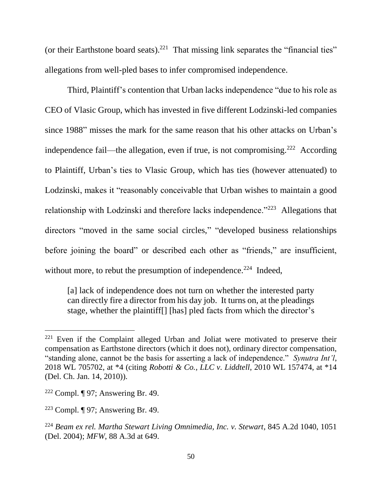(or their Earthstone board seats).<sup>221</sup> That missing link separates the "financial ties" allegations from well-pled bases to infer compromised independence.

Third, Plaintiff's contention that Urban lacks independence "due to his role as CEO of Vlasic Group, which has invested in five different Lodzinski-led companies since 1988" misses the mark for the same reason that his other attacks on Urban's independence fail—the allegation, even if true, is not compromising.<sup>222</sup> According to Plaintiff, Urban's ties to Vlasic Group, which has ties (however attenuated) to Lodzinski, makes it "reasonably conceivable that Urban wishes to maintain a good relationship with Lodzinski and therefore lacks independence."<sup>223</sup> Allegations that directors "moved in the same social circles," "developed business relationships before joining the board" or described each other as "friends," are insufficient, without more, to rebut the presumption of independence.<sup>224</sup> Indeed,

[a] lack of independence does not turn on whether the interested party can directly fire a director from his day job. It turns on, at the pleadings stage, whether the plaintiff[] [has] pled facts from which the director's

 $221$  Even if the Complaint alleged Urban and Joliat were motivated to preserve their compensation as Earthstone directors (which it does not), ordinary director compensation, "standing alone, cannot be the basis for asserting a lack of independence." *Synutra Int'l*, 2018 WL 705702, at \*4 (citing *Robotti & Co., LLC v. Liddtell*, 2010 WL 157474, at \*14 (Del. Ch. Jan. 14, 2010)).

<sup>&</sup>lt;sup>222</sup> Compl. ¶ 97; Answering Br. 49.

<sup>223</sup> Compl. ¶ 97; Answering Br. 49.

<sup>224</sup> *Beam ex rel. Martha Stewart Living Omnimedia, Inc. v. Stewart*, 845 A.2d 1040, 1051 (Del. 2004); *MFW*, 88 A.3d at 649.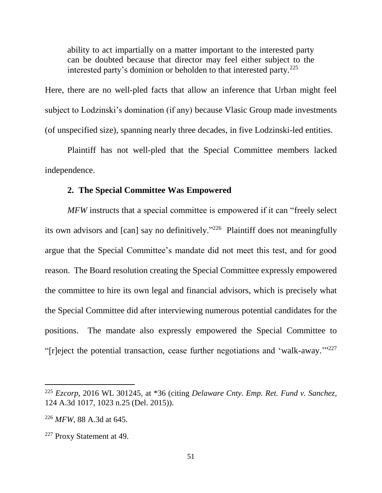ability to act impartially on a matter important to the interested party can be doubted because that director may feel either subject to the interested party's dominion or beholden to that interested party. $225$ 

Here, there are no well-pled facts that allow an inference that Urban might feel subject to Lodzinski's domination (if any) because Vlasic Group made investments (of unspecified size), spanning nearly three decades, in five Lodzinski-led entities.

Plaintiff has not well-pled that the Special Committee members lacked independence.

# **2. The Special Committee Was Empowered**

*MFW* instructs that a special committee is empowered if it can "freely select its own advisors and [can] say no definitively."<sup>226</sup> Plaintiff does not meaningfully argue that the Special Committee's mandate did not meet this test, and for good reason. The Board resolution creating the Special Committee expressly empowered the committee to hire its own legal and financial advisors, which is precisely what the Special Committee did after interviewing numerous potential candidates for the positions. The mandate also expressly empowered the Special Committee to "[r]eject the potential transaction, cease further negotiations and 'walk-away.'" 227

<sup>225</sup> *Ezcorp*, 2016 WL 301245, at \*36 (citing *Delaware Cnty. Emp. Ret. Fund v. Sanchez*, 124 A.3d 1017, 1023 n.25 (Del. 2015)).

<sup>226</sup> *MFW*, 88 A.3d at 645.

<sup>227</sup> Proxy Statement at 49.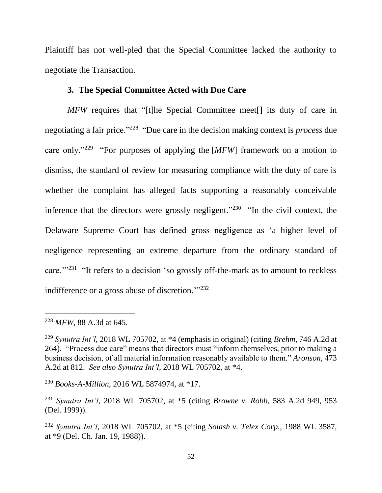Plaintiff has not well-pled that the Special Committee lacked the authority to negotiate the Transaction.

### **3. The Special Committee Acted with Due Care**

*MFW* requires that "[t]he Special Committee meet[] its duty of care in negotiating a fair price."<sup>228</sup> "Due care in the decision making context is *process* due care only."<sup>229</sup> "For purposes of applying the [MFW] framework on a motion to dismiss, the standard of review for measuring compliance with the duty of care is whether the complaint has alleged facts supporting a reasonably conceivable inference that the directors were grossly negligent." $230$  "In the civil context, the Delaware Supreme Court has defined gross negligence as 'a higher level of negligence representing an extreme departure from the ordinary standard of care."<sup>231</sup> "It refers to a decision 'so grossly off-the-mark as to amount to reckless indifference or a gross abuse of discretion. $\frac{1732}{2}$ 

 $\overline{a}$ 

<sup>230</sup> *Books-A-Million*, 2016 WL 5874974, at \*17.

<sup>228</sup> *MFW*, 88 A.3d at 645.

<sup>229</sup> *Synutra Int'l*, 2018 WL 705702, at \*4 (emphasis in original) (citing *Brehm*, 746 A.2d at 264). "Process due care" means that directors must "inform themselves, prior to making a business decision, of all material information reasonably available to them." *Aronson*, 473 A.2d at 812. *See also Synutra Int'l*, 2018 WL 705702, at \*4.

<sup>231</sup> *Synutra Int'l*, 2018 WL 705702, at \*5 (citing *Browne v. Robb*, 583 A.2d 949, 953 (Del. 1999)).

<sup>232</sup> *Synutra Int'l*, 2018 WL 705702, at \*5 (citing *Solash v. Telex Corp.*, 1988 WL 3587, at \*9 (Del. Ch. Jan. 19, 1988)).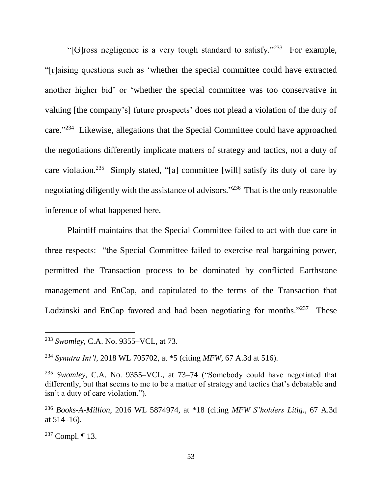"[G]ross negligence is a very tough standard to satisfy."<sup>233</sup> For example, "[r]aising questions such as 'whether the special committee could have extracted another higher bid' or 'whether the special committee was too conservative in valuing [the company's] future prospects' does not plead a violation of the duty of care."<sup>234</sup> Likewise, allegations that the Special Committee could have approached the negotiations differently implicate matters of strategy and tactics, not a duty of care violation.<sup>235</sup> Simply stated, "[a] committee [will] satisfy its duty of care by negotiating diligently with the assistance of advisors." 236 That is the only reasonable inference of what happened here.

Plaintiff maintains that the Special Committee failed to act with due care in three respects: "the Special Committee failed to exercise real bargaining power, permitted the Transaction process to be dominated by conflicted Earthstone management and EnCap, and capitulated to the terms of the Transaction that Lodzinski and EnCap favored and had been negotiating for months."<sup>237</sup> These

<sup>233</sup> *Swomley*, C.A. No. 9355–VCL, at 73.

<sup>234</sup> *Synutra Int'l*, 2018 WL 705702, at \*5 (citing *MFW*, 67 A.3d at 516).

<sup>235</sup> *Swomley*, C.A. No. 9355–VCL, at 73–74 ("Somebody could have negotiated that differently, but that seems to me to be a matter of strategy and tactics that's debatable and isn't a duty of care violation.").

<sup>236</sup> *Books-A-Million*, 2016 WL 5874974, at \*18 (citing *MFW S'holders Litig.*, 67 A.3d at  $514-16$ ).

<sup>237</sup> Compl. ¶ 13.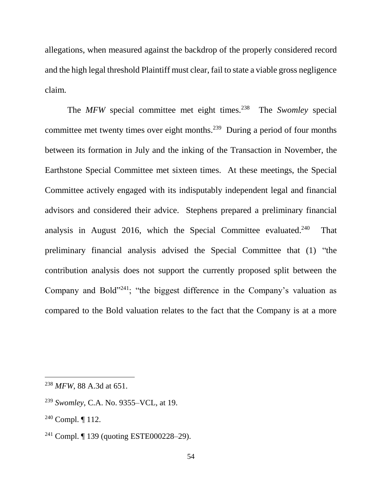allegations, when measured against the backdrop of the properly considered record and the high legal threshold Plaintiff must clear, fail to state a viable gross negligence claim.

The *MFW* special committee met eight times.<sup>238</sup> The *Swomley* special committee met twenty times over eight months.<sup>239</sup> During a period of four months between its formation in July and the inking of the Transaction in November, the Earthstone Special Committee met sixteen times. At these meetings, the Special Committee actively engaged with its indisputably independent legal and financial advisors and considered their advice. Stephens prepared a preliminary financial analysis in August 2016, which the Special Committee evaluated.<sup>240</sup> That preliminary financial analysis advised the Special Committee that (1) "the contribution analysis does not support the currently proposed split between the Company and Bold"<sup>241</sup>; "the biggest difference in the Company's valuation as compared to the Bold valuation relates to the fact that the Company is at a more

<sup>238</sup> *MFW*, 88 A.3d at 651.

<sup>239</sup> *Swomley*, C.A. No. 9355–VCL, at 19.

<sup>240</sup> Compl. ¶ 112.

<sup>241</sup> Compl. ¶ 139 (quoting ESTE000228–29).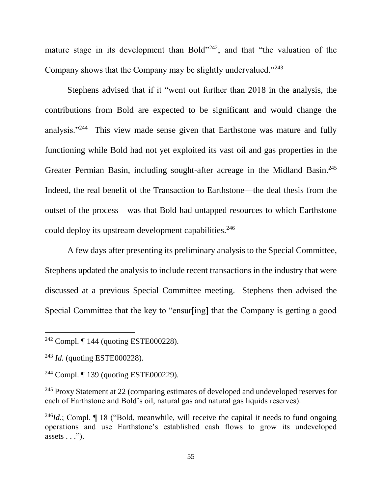mature stage in its development than Bold"<sup>242</sup>; and that "the valuation of the Company shows that the Company may be slightly undervalued."<sup>243</sup>

Stephens advised that if it "went out further than 2018 in the analysis, the contributions from Bold are expected to be significant and would change the analysis."<sup>244</sup> This view made sense given that Earthstone was mature and fully functioning while Bold had not yet exploited its vast oil and gas properties in the Greater Permian Basin, including sought-after acreage in the Midland Basin.<sup>245</sup> Indeed, the real benefit of the Transaction to Earthstone—the deal thesis from the outset of the process—was that Bold had untapped resources to which Earthstone could deploy its upstream development capabilities.<sup>246</sup>

A few days after presenting its preliminary analysis to the Special Committee, Stephens updated the analysis to include recent transactions in the industry that were discussed at a previous Special Committee meeting. Stephens then advised the Special Committee that the key to "ensur[ing] that the Company is getting a good

<sup>242</sup> Compl. ¶ 144 (quoting ESTE000228).

<sup>243</sup> *Id.* (quoting ESTE000228).

<sup>244</sup> Compl. ¶ 139 (quoting ESTE000229).

<sup>&</sup>lt;sup>245</sup> Proxy Statement at 22 (comparing estimates of developed and undeveloped reserves for each of Earthstone and Bold's oil, natural gas and natural gas liquids reserves).

<sup>&</sup>lt;sup>246</sup>*Id.*; Compl. ¶ 18 ("Bold, meanwhile, will receive the capital it needs to fund ongoing operations and use Earthstone's established cash flows to grow its undeveloped assets  $\ldots$ ").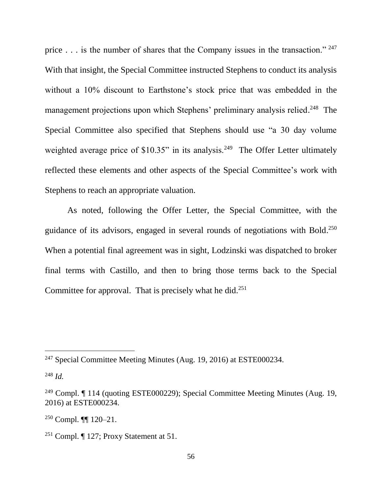price . . . is the number of shares that the Company issues in the transaction." <sup>247</sup> With that insight, the Special Committee instructed Stephens to conduct its analysis without a 10% discount to Earthstone's stock price that was embedded in the management projections upon which Stephens' preliminary analysis relied.<sup>248</sup> The Special Committee also specified that Stephens should use "a 30 day volume weighted average price of \$10.35" in its analysis.<sup>249</sup> The Offer Letter ultimately reflected these elements and other aspects of the Special Committee's work with Stephens to reach an appropriate valuation.

As noted, following the Offer Letter, the Special Committee, with the guidance of its advisors, engaged in several rounds of negotiations with Bold. 250 When a potential final agreement was in sight, Lodzinski was dispatched to broker final terms with Castillo, and then to bring those terms back to the Special Committee for approval. That is precisely what he did.<sup>251</sup>

<sup>&</sup>lt;sup>247</sup> Special Committee Meeting Minutes (Aug. 19, 2016) at ESTE000234.

<sup>248</sup> *Id.*

<sup>249</sup> Compl. ¶ 114 (quoting ESTE000229); Special Committee Meeting Minutes (Aug. 19, 2016) at ESTE000234.

<sup>250</sup> Compl. ¶¶ 120–21.

<sup>&</sup>lt;sup>251</sup> Compl.  $\P$  127; Proxy Statement at 51.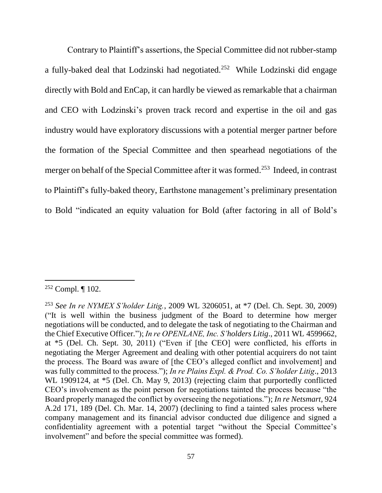Contrary to Plaintiff's assertions, the Special Committee did not rubber-stamp a fully-baked deal that Lodzinski had negotiated.<sup>252</sup> While Lodzinski did engage directly with Bold and EnCap, it can hardly be viewed as remarkable that a chairman and CEO with Lodzinski's proven track record and expertise in the oil and gas industry would have exploratory discussions with a potential merger partner before the formation of the Special Committee and then spearhead negotiations of the merger on behalf of the Special Committee after it was formed.<sup>253</sup> Indeed, in contrast to Plaintiff's fully-baked theory, Earthstone management's preliminary presentation to Bold "indicated an equity valuation for Bold (after factoring in all of Bold's

<sup>252</sup> Compl. ¶ 102.

<sup>253</sup> *See In re NYMEX S'holder Litig.*, 2009 WL 3206051, at \*7 (Del. Ch. Sept. 30, 2009) ("It is well within the business judgment of the Board to determine how merger negotiations will be conducted, and to delegate the task of negotiating to the Chairman and the Chief Executive Officer."); *In re OPENLANE, Inc. S'holders Litig*., 2011 WL 4599662, at \*5 (Del. Ch. Sept. 30, 2011) ("Even if [the CEO] were conflicted, his efforts in negotiating the Merger Agreement and dealing with other potential acquirers do not taint the process. The Board was aware of [the CEO's alleged conflict and involvement] and was fully committed to the process."); *In re Plains Expl. & Prod. Co. S'holder Litig*., 2013 WL 1909124, at  $*5$  (Del. Ch. May 9, 2013) (rejecting claim that purportedly conflicted CEO's involvement as the point person for negotiations tainted the process because "the Board properly managed the conflict by overseeing the negotiations."); *In re Netsmart*, 924 A.2d 171, 189 (Del. Ch. Mar. 14, 2007) (declining to find a tainted sales process where company management and its financial advisor conducted due diligence and signed a confidentiality agreement with a potential target "without the Special Committee's involvement" and before the special committee was formed).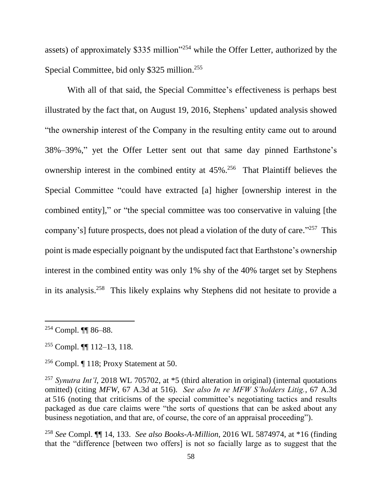assets) of approximately \$335 million"<sup>254</sup> while the Offer Letter, authorized by the Special Committee, bid only \$325 million.<sup>255</sup>

With all of that said, the Special Committee's effectiveness is perhaps best illustrated by the fact that, on August 19, 2016, Stephens' updated analysis showed "the ownership interest of the Company in the resulting entity came out to around 38%–39%," yet the Offer Letter sent out that same day pinned Earthstone's ownership interest in the combined entity at 45%.<sup>256</sup> That Plaintiff believes the Special Committee "could have extracted [a] higher [ownership interest in the combined entity]," or "the special committee was too conservative in valuing [the company's] future prospects, does not plead a violation of the duty of care."<sup>257</sup> This point is made especially poignant by the undisputed fact that Earthstone's ownership interest in the combined entity was only 1% shy of the 40% target set by Stephens in its analysis.<sup>258</sup> This likely explains why Stephens did not hesitate to provide a

 $\overline{a}$ 

<sup>258</sup> *See* Compl. ¶¶ 14, 133. *See also Books-A-Million*, 2016 WL 5874974, at \*16 (finding that the "difference [between two offers] is not so facially large as to suggest that the

<sup>254</sup> Compl. ¶¶ 86–88.

<sup>255</sup> Compl. ¶¶ 112–13, 118.

<sup>256</sup> Compl. ¶ 118; Proxy Statement at 50.

<sup>257</sup> *Synutra Int'l*, 2018 WL 705702, at \*5 (third alteration in original) (internal quotations omitted) (citing *MFW*, 67 A.3d at 516). *See also In re MFW S'holders Litig.*, 67 A.3d at 516 (noting that criticisms of the special committee's negotiating tactics and results packaged as due care claims were "the sorts of questions that can be asked about any business negotiation, and that are, of course, the core of an appraisal proceeding").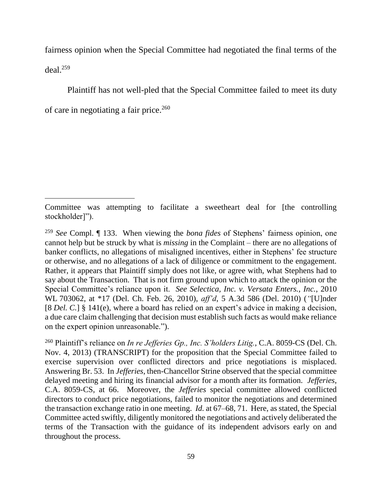fairness opinion when the Special Committee had negotiated the final terms of the  $deal.<sup>259</sup>$ 

Plaintiff has not well-pled that the Special Committee failed to meet its duty of care in negotiating a fair price. 260

 $\overline{a}$ 

<sup>260</sup> Plaintiff's reliance on *In re Jefferies Gp., Inc. S'holders Litig.*, C.A. 8059-CS (Del. Ch. Nov. 4, 2013) (TRANSCRIPT) for the proposition that the Special Committee failed to exercise supervision over conflicted directors and price negotiations is misplaced. Answering Br. 53. In *Jefferies*, then-Chancellor Strine observed that the special committee delayed meeting and hiring its financial advisor for a month after its formation. *Jefferies*, C.A. 8059-CS, at 66. Moreover, the *Jefferies* special committee allowed conflicted directors to conduct price negotiations, failed to monitor the negotiations and determined the transaction exchange ratio in one meeting. *Id.* at 67–68, 71. Here, as stated, the Special Committee acted swiftly, diligently monitored the negotiations and actively deliberated the terms of the Transaction with the guidance of its independent advisors early on and throughout the process.

Committee was attempting to facilitate a sweetheart deal for [the controlling stockholder]").

<sup>259</sup> *See* Compl. ¶ 133. When viewing the *bona fides* of Stephens' fairness opinion, one cannot help but be struck by what is *missing* in the Complaint – there are no allegations of banker conflicts, no allegations of misaligned incentives, either in Stephens' fee structure or otherwise, and no allegations of a lack of diligence or commitment to the engagement. Rather, it appears that Plaintiff simply does not like, or agree with, what Stephens had to say about the Transaction. That is not firm ground upon which to attack the opinion or the Special Committee's reliance upon it. *See Selectica, Inc. v. Versata Enters., Inc.*, 2010 WL 703062, at \*17 (Del. Ch. Feb. 26, 2010), *aff'd*, 5 A.3d 586 (Del. 2010) (*"*[U]nder [8 *Del. C.*] § 141(e), where a board has relied on an expert's advice in making a decision, a due care claim challenging that decision must establish such facts as would make reliance on the expert opinion unreasonable.").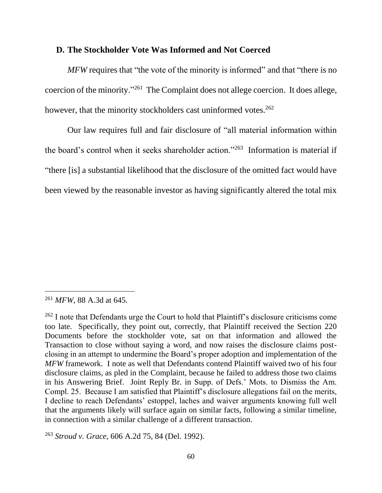#### **D. The Stockholder Vote Was Informed and Not Coerced**

*MFW* requires that "the vote of the minority is informed" and that "there is no coercion of the minority."<sup>261</sup> The Complaint does not allege coercion. It does allege, however, that the minority stockholders cast uninformed votes.<sup>262</sup>

Our law requires full and fair disclosure of "all material information within the board's control when it seeks shareholder action."<sup>263</sup> Information is material if "there [is] a substantial likelihood that the disclosure of the omitted fact would have been viewed by the reasonable investor as having significantly altered the total mix

<sup>261</sup> *MFW*, 88 A.3d at 645.

<sup>&</sup>lt;sup>262</sup> I note that Defendants urge the Court to hold that Plaintiff's disclosure criticisms come too late. Specifically, they point out, correctly, that Plaintiff received the Section 220 Documents before the stockholder vote, sat on that information and allowed the Transaction to close without saying a word, and now raises the disclosure claims postclosing in an attempt to undermine the Board's proper adoption and implementation of the *MFW* framework. I note as well that Defendants contend Plaintiff waived two of his four disclosure claims, as pled in the Complaint, because he failed to address those two claims in his Answering Brief. Joint Reply Br. in Supp. of Defs.' Mots. to Dismiss the Am. Compl. 25. Because I am satisfied that Plaintiff's disclosure allegations fail on the merits, I decline to reach Defendants' estoppel, laches and waiver arguments knowing full well that the arguments likely will surface again on similar facts, following a similar timeline, in connection with a similar challenge of a different transaction.

<sup>263</sup> *Stroud v. Grace*, 606 A.2d 75, 84 (Del. 1992).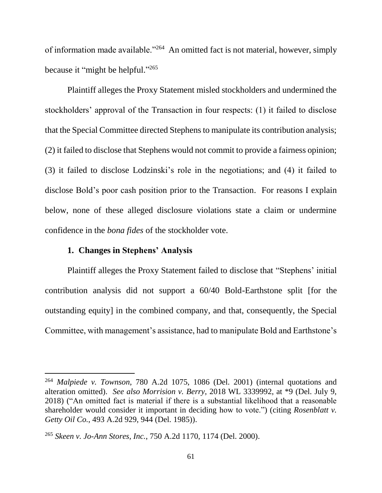of information made available."<sup>264</sup> An omitted fact is not material, however, simply because it "might be helpful."<sup>265</sup>

Plaintiff alleges the Proxy Statement misled stockholders and undermined the stockholders' approval of the Transaction in four respects: (1) it failed to disclose that the Special Committee directed Stephens to manipulate its contribution analysis; (2) it failed to disclose that Stephens would not commit to provide a fairness opinion; (3) it failed to disclose Lodzinski's role in the negotiations; and (4) it failed to disclose Bold's poor cash position prior to the Transaction. For reasons I explain below, none of these alleged disclosure violations state a claim or undermine confidence in the *bona fides* of the stockholder vote.

## **1. Changes in Stephens' Analysis**

l

Plaintiff alleges the Proxy Statement failed to disclose that "Stephens' initial contribution analysis did not support a 60/40 Bold-Earthstone split [for the outstanding equity] in the combined company, and that, consequently, the Special Committee, with management's assistance, had to manipulate Bold and Earthstone's

<sup>264</sup> *Malpiede v. Townson*, 780 A.2d 1075, 1086 (Del. 2001) (internal quotations and alteration omitted). *See also Morrision v. Berry*, 2018 WL 3339992, at \*9 (Del. July 9, 2018) ("An omitted fact is material if there is a substantial likelihood that a reasonable shareholder would consider it important in deciding how to vote.") (citing *Rosenblatt v. Getty Oil Co.*, 493 A.2d 929, 944 (Del. 1985)).

<sup>265</sup> *Skeen v. Jo-Ann Stores, Inc.*, 750 A.2d 1170, 1174 (Del. 2000).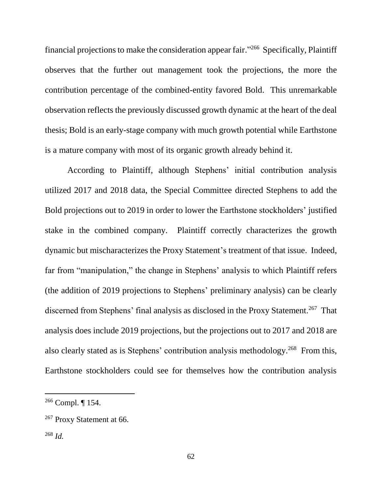financial projections to make the consideration appear fair."<sup>266</sup> Specifically, Plaintiff observes that the further out management took the projections, the more the contribution percentage of the combined-entity favored Bold. This unremarkable observation reflects the previously discussed growth dynamic at the heart of the deal thesis; Bold is an early-stage company with much growth potential while Earthstone is a mature company with most of its organic growth already behind it.

According to Plaintiff, although Stephens' initial contribution analysis utilized 2017 and 2018 data, the Special Committee directed Stephens to add the Bold projections out to 2019 in order to lower the Earthstone stockholders' justified stake in the combined company. Plaintiff correctly characterizes the growth dynamic but mischaracterizes the Proxy Statement's treatment of that issue. Indeed, far from "manipulation," the change in Stephens' analysis to which Plaintiff refers (the addition of 2019 projections to Stephens' preliminary analysis) can be clearly discerned from Stephens' final analysis as disclosed in the Proxy Statement.<sup>267</sup> That analysis does include 2019 projections, but the projections out to 2017 and 2018 are also clearly stated as is Stephens' contribution analysis methodology.<sup>268</sup> From this, Earthstone stockholders could see for themselves how the contribution analysis

<sup>266</sup> Compl. ¶ 154.

<sup>267</sup> Proxy Statement at 66.

<sup>268</sup> *Id.*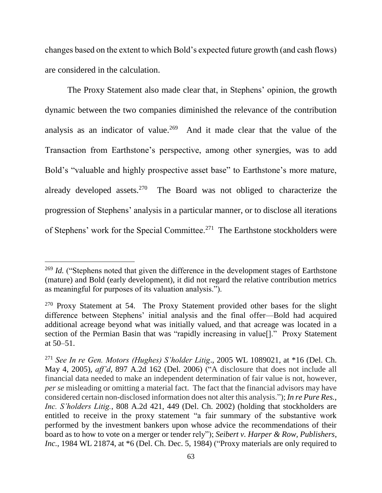changes based on the extent to which Bold's expected future growth (and cash flows) are considered in the calculation.

The Proxy Statement also made clear that, in Stephens' opinion, the growth dynamic between the two companies diminished the relevance of the contribution analysis as an indicator of value.<sup>269</sup> And it made clear that the value of the Transaction from Earthstone's perspective, among other synergies, was to add Bold's "valuable and highly prospective asset base" to Earthstone's more mature, already developed assets.<sup>270</sup> The Board was not obliged to characterize the progression of Stephens' analysis in a particular manner, or to disclose all iterations of Stephens' work for the Special Committee.<sup>271</sup> The Earthstone stockholders were

<sup>&</sup>lt;sup>269</sup> *Id.* ("Stephens noted that given the difference in the development stages of Earthstone (mature) and Bold (early development), it did not regard the relative contribution metrics as meaningful for purposes of its valuation analysis.").

<sup>&</sup>lt;sup>270</sup> Proxy Statement at 54. The Proxy Statement provided other bases for the slight difference between Stephens' initial analysis and the final offer—Bold had acquired additional acreage beyond what was initially valued, and that acreage was located in a section of the Permian Basin that was "rapidly increasing in value<sup>[]</sup>." Proxy Statement at 50–51.

<sup>271</sup> *See In re Gen. Motors (Hughes) S'holder Litig*., 2005 WL 1089021, at \*16 (Del. Ch. May 4, 2005), *aff'd*, 897 A.2d 162 (Del. 2006) ("A disclosure that does not include all financial data needed to make an independent determination of fair value is not, however, *per se* misleading or omitting a material fact. The fact that the financial advisors may have considered certain non-disclosed information does not alter this analysis."); *In re Pure Res., Inc. S'holders Litig.*, 808 A.2d 421, 449 (Del. Ch. 2002) (holding that stockholders are entitled to receive in the proxy statement "a fair summary of the substantive work performed by the investment bankers upon whose advice the recommendations of their board as to how to vote on a merger or tender rely"); *Seibert v. Harper & Row, Publishers*, *Inc.*, 1984 WL 21874, at  $*6$  (Del. Ch. Dec. 5, 1984) ("Proxy materials are only required to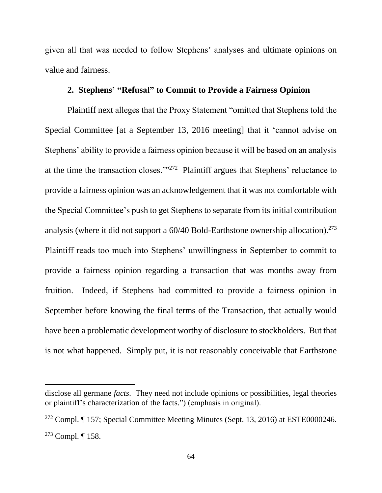given all that was needed to follow Stephens' analyses and ultimate opinions on value and fairness.

# **2. Stephens' "Refusal" to Commit to Provide a Fairness Opinion**

Plaintiff next alleges that the Proxy Statement "omitted that Stephens told the Special Committee [at a September 13, 2016 meeting] that it 'cannot advise on Stephens' ability to provide a fairness opinion because it will be based on an analysis at the time the transaction closes."<sup>272</sup> Plaintiff argues that Stephens' reluctance to provide a fairness opinion was an acknowledgement that it was not comfortable with the Special Committee's push to get Stephens to separate from its initial contribution analysis (where it did not support a 60/40 Bold-Earthstone ownership allocation).<sup>273</sup> Plaintiff reads too much into Stephens' unwillingness in September to commit to provide a fairness opinion regarding a transaction that was months away from fruition. Indeed, if Stephens had committed to provide a fairness opinion in September before knowing the final terms of the Transaction, that actually would have been a problematic development worthy of disclosure to stockholders. But that is not what happened. Simply put, it is not reasonably conceivable that Earthstone

disclose all germane *facts*. They need not include opinions or possibilities, legal theories or plaintiff's characterization of the facts.") (emphasis in original).

<sup>272</sup> Compl. ¶ 157; Special Committee Meeting Minutes (Sept. 13, 2016) at ESTE0000246. <sup>273</sup> Compl. ¶ 158.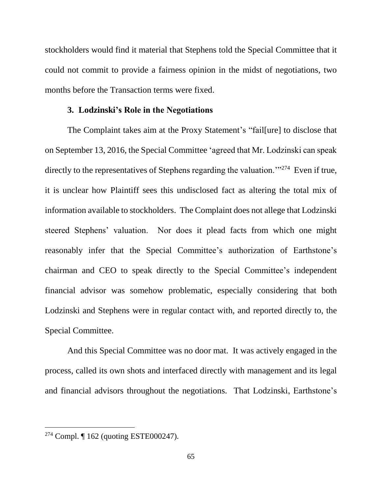stockholders would find it material that Stephens told the Special Committee that it could not commit to provide a fairness opinion in the midst of negotiations, two months before the Transaction terms were fixed.

## **3. Lodzinski's Role in the Negotiations**

The Complaint takes aim at the Proxy Statement's "fail[ure] to disclose that on September 13, 2016, the Special Committee 'agreed that Mr. Lodzinski can speak directly to the representatives of Stephens regarding the valuation."<sup>274</sup> Even if true, it is unclear how Plaintiff sees this undisclosed fact as altering the total mix of information available to stockholders. The Complaint does not allege that Lodzinski steered Stephens' valuation. Nor does it plead facts from which one might reasonably infer that the Special Committee's authorization of Earthstone's chairman and CEO to speak directly to the Special Committee's independent financial advisor was somehow problematic, especially considering that both Lodzinski and Stephens were in regular contact with, and reported directly to, the Special Committee.

And this Special Committee was no door mat. It was actively engaged in the process, called its own shots and interfaced directly with management and its legal and financial advisors throughout the negotiations. That Lodzinski, Earthstone's

<sup>274</sup> Compl. ¶ 162 (quoting ESTE000247).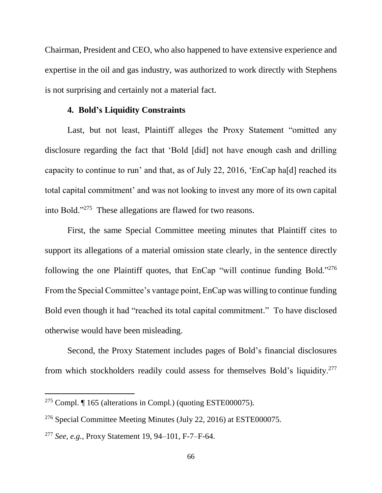Chairman, President and CEO, who also happened to have extensive experience and expertise in the oil and gas industry, was authorized to work directly with Stephens is not surprising and certainly not a material fact.

#### **4. Bold's Liquidity Constraints**

Last, but not least, Plaintiff alleges the Proxy Statement "omitted any disclosure regarding the fact that 'Bold [did] not have enough cash and drilling capacity to continue to run' and that, as of July 22, 2016, 'EnCap ha[d] reached its total capital commitment' and was not looking to invest any more of its own capital into Bold."<sup>275</sup> These allegations are flawed for two reasons.

First, the same Special Committee meeting minutes that Plaintiff cites to support its allegations of a material omission state clearly, in the sentence directly following the one Plaintiff quotes, that EnCap "will continue funding Bold."<sup>276</sup> From the Special Committee's vantage point, EnCap was willing to continue funding Bold even though it had "reached its total capital commitment." To have disclosed otherwise would have been misleading.

Second, the Proxy Statement includes pages of Bold's financial disclosures from which stockholders readily could assess for themselves Bold's liquidity.<sup>277</sup>

<sup>&</sup>lt;sup>275</sup> Compl.  $\P$  165 (alterations in Compl.) (quoting ESTE000075).

<sup>276</sup> Special Committee Meeting Minutes (July 22, 2016) at ESTE000075.

<sup>277</sup> *See, e.g.*, Proxy Statement 19, 94–101, F-7–F-64.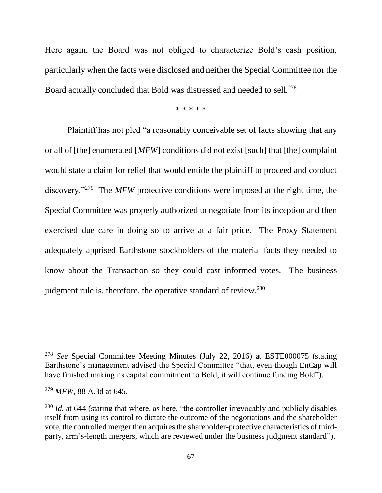Here again, the Board was not obliged to characterize Bold's cash position, particularly when the facts were disclosed and neither the Special Committee nor the Board actually concluded that Bold was distressed and needed to sell.<sup>278</sup>

\* \* \* \* \*

Plaintiff has not pled "a reasonably conceivable set of facts showing that any or all of [the] enumerated [*MFW*] conditions did not exist [such] that [the] complaint would state a claim for relief that would entitle the plaintiff to proceed and conduct discovery."<sup>279</sup> The *MFW* protective conditions were imposed at the right time, the Special Committee was properly authorized to negotiate from its inception and then exercised due care in doing so to arrive at a fair price. The Proxy Statement adequately apprised Earthstone stockholders of the material facts they needed to know about the Transaction so they could cast informed votes. The business judgment rule is, therefore, the operative standard of review.<sup>280</sup>

<sup>278</sup> *See* Special Committee Meeting Minutes (July 22, 2016) at ESTE000075 (stating Earthstone's management advised the Special Committee "that, even though EnCap will have finished making its capital commitment to Bold, it will continue funding Bold").

<sup>279</sup> *MFW*, 88 A.3d at 645.

<sup>&</sup>lt;sup>280</sup> *Id.* at 644 (stating that where, as here, "the controller irrevocably and publicly disables itself from using its control to dictate the outcome of the negotiations and the shareholder vote, the controlled merger then acquires the shareholder-protective characteristics of thirdparty, arm's-length mergers, which are reviewed under the business judgment standard").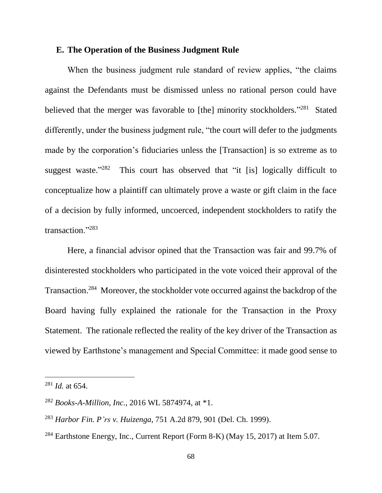# **E. The Operation of the Business Judgment Rule**

When the business judgment rule standard of review applies, "the claims against the Defendants must be dismissed unless no rational person could have believed that the merger was favorable to [the] minority stockholders."<sup>281</sup> Stated differently, under the business judgment rule, "the court will defer to the judgments made by the corporation's fiduciaries unless the [Transaction] is so extreme as to suggest waste."282 This court has observed that "it [is] logically difficult to conceptualize how a plaintiff can ultimately prove a waste or gift claim in the face of a decision by fully informed, uncoerced, independent stockholders to ratify the transaction."<sup>283</sup>

Here, a financial advisor opined that the Transaction was fair and 99.7% of disinterested stockholders who participated in the vote voiced their approval of the Transaction.<sup>284</sup> Moreover, the stockholder vote occurred against the backdrop of the Board having fully explained the rationale for the Transaction in the Proxy Statement. The rationale reflected the reality of the key driver of the Transaction as viewed by Earthstone's management and Special Committee: it made good sense to

<sup>281</sup> *Id.* at 654.

<sup>282</sup> *Books-A-Million, Inc.*, 2016 WL 5874974, at \*1.

<sup>283</sup> *Harbor Fin. P'rs v. Huizenga*, 751 A.2d 879, 901 (Del. Ch. 1999).

<sup>284</sup> Earthstone Energy, Inc., Current Report (Form 8-K) (May 15, 2017) at Item 5.07.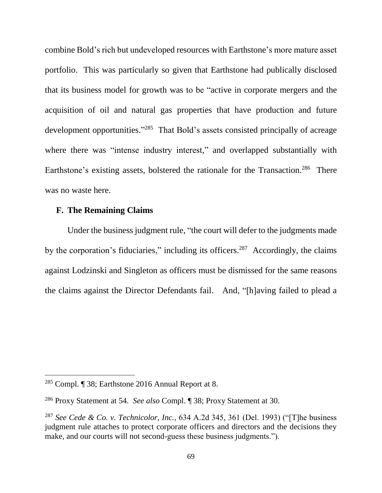combine Bold's rich but undeveloped resources with Earthstone's more mature asset portfolio. This was particularly so given that Earthstone had publically disclosed that its business model for growth was to be "active in corporate mergers and the acquisition of oil and natural gas properties that have production and future development opportunities."<sup>285</sup> That Bold's assets consisted principally of acreage where there was "intense industry interest," and overlapped substantially with Earthstone's existing assets, bolstered the rationale for the Transaction.<sup>286</sup> There was no waste here.

# **F. The Remaining Claims**

Under the business judgment rule, "the court will defer to the judgments made by the corporation's fiduciaries," including its officers.<sup>287</sup> Accordingly, the claims against Lodzinski and Singleton as officers must be dismissed for the same reasons the claims against the Director Defendants fail. And, "[h]aving failed to plead a

<sup>285</sup> Compl. ¶ 38; Earthstone 2016 Annual Report at 8.

<sup>286</sup> Proxy Statement at 54. *See also* Compl. ¶ 38; Proxy Statement at 30.

<sup>287</sup> *See Cede & Co. v. Technicolor, Inc.*, 634 A.2d 345, 361 (Del. 1993) ("[T]he business judgment rule attaches to protect corporate officers and directors and the decisions they make, and our courts will not second-guess these business judgments.").